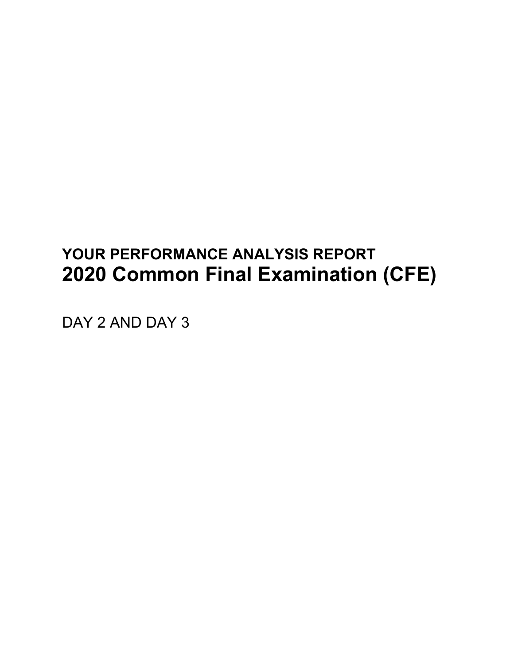# **YOUR PERFORMANCE ANALYSIS REPORT 2020 Common Final Examination (CFE)**

DAY 2 AND DAY 3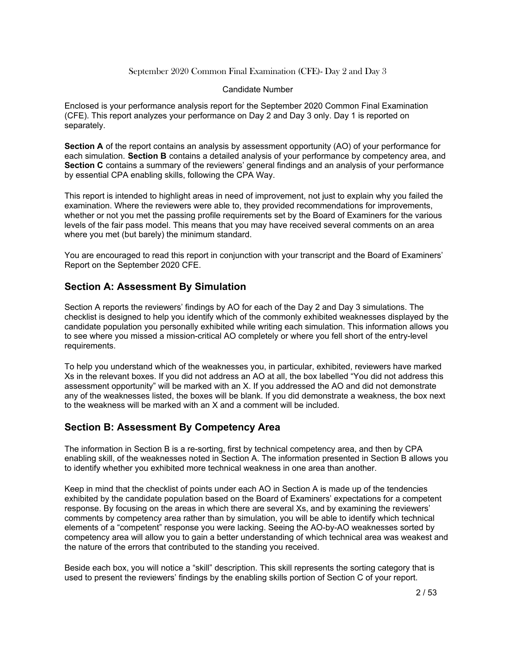#### Candidate
Number

Enclosed is your performance analysis report for the September 2020 Common Final Examination (CFE).
This
report
analyzes
your
performance
on
Day
2
and
Day
3
only.
Day
1
is
reported
on separately.

**Section A** of the report contains an analysis by assessment opportunity (AO) of your performance for each simulation. Section B contains a detailed analysis of your performance by competency area, and Section C contains a summary of the reviewers' general findings and an analysis of your performance by essential CPA enabling skills, following the CPA Way.

This report is intended to highlight areas in need of improvement, not just to explain why you failed the examination. Where the reviewers were able to, they provided recommendations for improvements, whether or not you met the passing profile requirements set by the Board of Examiners for the various levels of the fair pass model. This means that you may have received several comments on an area where you met (but barely) the minimum standard.

You are encouraged to read this report in conjunction with your transcript and the Board of Examiners' Report on the September 2020 CFE.

#### **Section A: Assessment By Simulation**

Section A reports the reviewers' findings by AO for each of the Day 2 and Day 3 simulations. The checklist is designed to help you identify which of the commonly exhibited weaknesses displayed by the candidate
population
you
personally
exhibited
while
writing
each
simulation.
This
information
allows
you to see where you missed a mission-critical AO completely or where you fell short of the entry-level requirements.

To help you understand which of the weaknesses you, in particular, exhibited, reviewers have marked Xs in the relevant boxes. If you did not address an AO at all, the box labelled "You did not address this assessment opportunity" will be marked with an X. If you addressed the AO and did not demonstrate any of the weaknesses listed, the boxes will be blank. If you did demonstrate a weakness, the box next to the weakness will be marked with an X and a comment will be included.

#### **Section B: Assessment By Competency Area**

The information in Section B is a re-sorting, first by technical competency area, and then by CPA enabling skill, of the weaknesses noted in Section A. The information presented in Section B allows vou to
identify
whether
you
exhibited
more
technical
weakness
in
one
area
than
another.

Keep in mind that the checklist of points under each AO in Section A is made up of the tendencies exhibited by the candidate population based on the Board of Examiners' expectations for a competent response. By focusing on the areas in which there are several Xs, and by examining the reviewers' comments by competency area rather than by simulation, you will be able to identify which technical elements of a "competent" response you were lacking. Seeing the AO-by-AO weaknesses sorted by competency area will allow you to gain a better understanding of which technical area was weakest and the nature of the errors that contributed to the standing you received.

Beside each box, you will notice a "skill" description. This skill represents the sorting category that is used to present the reviewers' findings by the enabling skills portion of Section C of your report.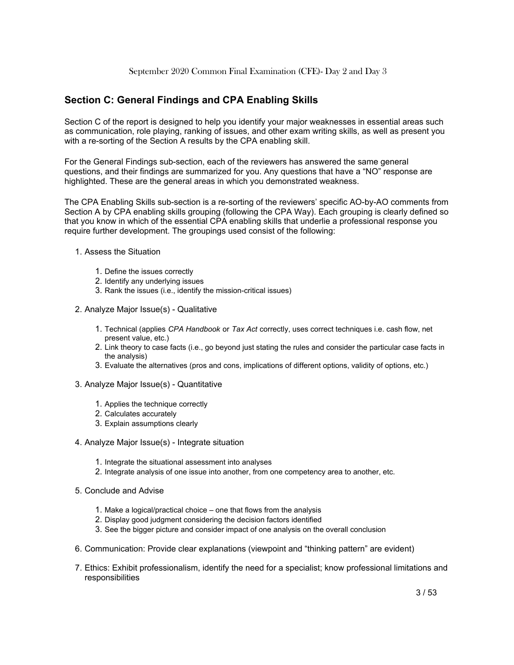#### **Section C: General Findings and CPA Enabling Skills**

Section C of the report is designed to help you identify your major weaknesses in essential areas such as communication, role playing, ranking of issues, and other exam writing skills, as well as present you with a re-sorting of the Section A results by the CPA enabling skill.

For the General Findings sub-section, each of the reviewers has answered the same general questions, and their findings are summarized for you. Any questions that have a "NO" response are highlighted. These are the general areas in which you demonstrated weakness.

The CPA Enabling Skills sub-section is a re-sorting of the reviewers' specific AO-by-AO comments from Section A by CPA enabling skills grouping (following the CPA Way). Each grouping is clearly defined so that you know in which of the essential CPA enabling skills that underlie a professional response you require further development. The groupings used consist of the following:

- 1. Assess the Situation
	- 1. Define
	the
	issues
	correctly
	- 2. Identify
	any
	underlying
	issues
	- 3. Rank
	the
	issues
	(i.e.,
	identify
	the
	mission-critical
	issues)
- 2. Analyze Major Issue(s) Qualitative
	- 1. Technical (applies *CPA Handbook* or *Tax Act* correctly, uses correct techniques i.e. cash flow, net present
	value,
	etc.)
	- 2. Link theory to case facts (i.e., go beyond just stating the rules and consider the particular case facts in the
	analysis)
	- 3. Evaluate
	the
	alternatives
	(pros
	and
	cons,
	implications
	of
	different
	options,
	validity
	of
	options,
	etc.)
- 3. Analyze Major Issue(s) Quantitative
	- 1. Applies
	the
	technique
	correctly
	- 2. Calculates
	accurately
	- 3. Explain
	assumptions
	clearly
- 4. Analyze Major Issue(s) Integrate situation
	- 1. Integrate
	the
	situational
	assessment
	into
	analyses
	- 2. Integrate analysis of one issue into another, from one competency area to another, etc.
- 5. Conclude and Advise
	- 1. Make a logical/practical choice one that flows from the analysis
	- 2. Display
	good
	judgment
	considering
	the
	decision
	factors
	identified
	- 3. See
	the
	bigger
	picture
	and
	consider
	impact
	of
	one
	analysis
	on
	the
	overall
	conclusion
- 6. Communication:
Provide
clear
explanations
(viewpoint
and
"thinking
pattern"
are
evident)
- 7. Ethics: Exhibit professionalism, identify the need for a specialist; know professional limitations and responsibilities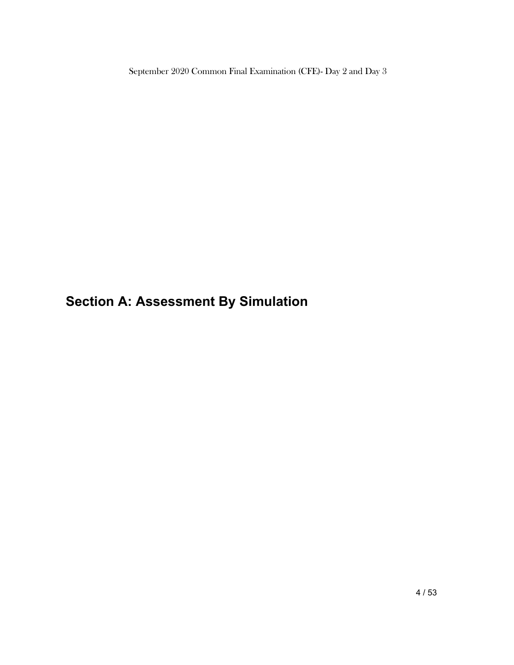**Section A: Assessment By Simulation**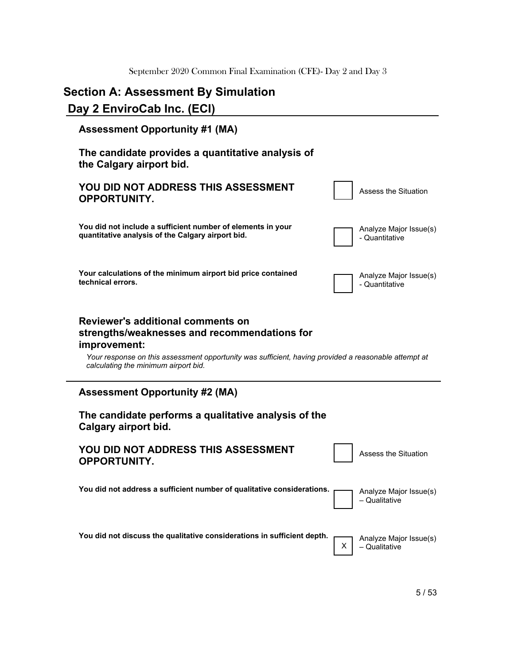# **Section A: Assessment By Simulation**

# **Day 2 EnviroCab Inc. (ECI)**

| <b>Assessment Opportunity #1 (MA)</b>                                                                                                                                                                                                             |                                              |
|---------------------------------------------------------------------------------------------------------------------------------------------------------------------------------------------------------------------------------------------------|----------------------------------------------|
| The candidate provides a quantitative analysis of<br>the Calgary airport bid.                                                                                                                                                                     |                                              |
| YOU DID NOT ADDRESS THIS ASSESSMENT<br><b>OPPORTUNITY.</b>                                                                                                                                                                                        | Assess the Situation                         |
| You did not include a sufficient number of elements in your<br>quantitative analysis of the Calgary airport bid.                                                                                                                                  | Analyze Major Issue(s)<br>- Quantitative     |
| Your calculations of the minimum airport bid price contained<br>technical errors.                                                                                                                                                                 | Analyze Major Issue(s)<br>- Quantitative     |
| Reviewer's additional comments on<br>strengths/weaknesses and recommendations for<br>improvement:<br>Your response on this assessment opportunity was sufficient, having provided a reasonable attempt at<br>calculating the minimum airport bid. |                                              |
| <b>Assessment Opportunity #2 (MA)</b>                                                                                                                                                                                                             |                                              |
| The candidate performs a qualitative analysis of the<br>Calgary airport bid.                                                                                                                                                                      |                                              |
| YOU DID NOT ADDRESS THIS ASSESSMENT<br><b>OPPORTUNITY.</b>                                                                                                                                                                                        | Assess the Situation                         |
| You did not address a sufficient number of qualitative considerations.<br>Analyze Major Issue(s)                                                                                                                                                  | - Qualitative                                |
| You did not discuss the qualitative considerations in sufficient depth.                                                                                                                                                                           | Analyze Major Issue(s)<br>х<br>- Qualitative |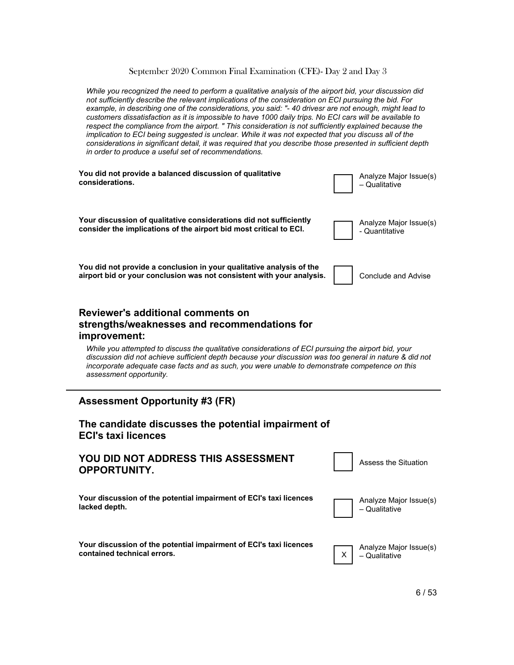*While you recognized the need to perform a qualitative analysis of the airport bid, your discussion did not sufficiently describe the relevant implications of the consideration on ECI pursuing the bid. For example, in describing one of the considerations, you said: "- 40 drivesr are not enough, might lead to customers dissatisfaction as it is impossible to have 1000 daily trips. No ECI cars will be available to respect the compliance from the airport. " This consideration is not sufficiently explained because the implication to ECI being suggested is unclear. While it was not expected that you discuss all of the considerations in significant detail, it was required that you describe those presented in sufficient depth in order to produce a useful set of recommendations.*



# **YOU DID NOT ADDRESS THIS ASSESSMENT OPPORTUNITY.**

**Your discussion of the potential impairment of ECI's taxi licences lacked depth.**

Assess
the
Situation

**Your discussion of the potential impairment of ECI's taxi licences contained technical errors.**

Analyze
Major
Issue(s) – Qualitative

X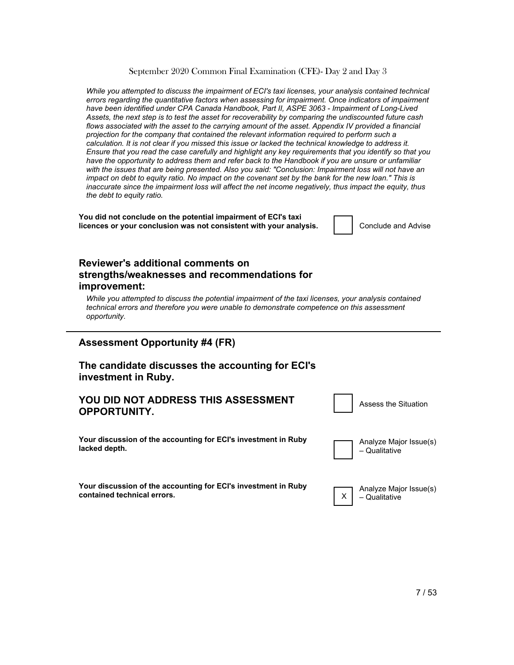*While you attempted to discuss the impairment of ECI's taxi licenses, your analysis contained technical errors regarding the quantitative factors when assessing for impairment. Once indicators of impairment have been identified under CPA Canada Handbook, Part II, ASPE 3063 - Impairment of Long-Lived Assets, the next step is to test the asset for recoverability by comparing the undiscounted future cash flows associated with the asset to the carrying amount of the asset. Appendix IV provided a financial projection for the company that contained the relevant information required to perform such a calculation. It is not clear if you missed this issue or lacked the technical knowledge to address it. Ensure that you read the case carefully and highlight any key requirements that you identify so that you have the opportunity to address them and refer back to the Handbook if you are unsure or unfamiliar*  with the issues that are being presented. Also you said: "Conclusion: Impairment loss will not have an *impact on debt to equity ratio. No impact on the covenant set by the bank for the new loan." This is inaccurate since the impairment loss will affect the net income negatively, thus impact the equity, thus the debt to equity ratio.*

**You did not conclude on the potential impairment of ECI's taxi licences or your conclusion was not consistent with your analysis.**  $\vert$  | Conclude and Advise

#### **Reviewer's additional comments on strengths/weaknesses and recommendations for improvement:**

*While you attempted to discuss the potential impairment of the taxi licenses, your analysis contained technical errors and therefore you were unable to demonstrate competence on this assessment opportunity.*

#### **Assessment Opportunity #4 (FR)**

#### **The candidate discusses the accounting for ECI's investment in Ruby.**

#### **YOU DID NOT ADDRESS THIS ASSESSMENT OPPORTUNITY.**

**Your discussion of the accounting for ECI's investment in Ruby lacked depth.**



Assess
the
Situation

**Your discussion of the accounting for ECI's investment in Ruby contained technical errors.**

Analyze
Major
Issue(s) – Qualitative

X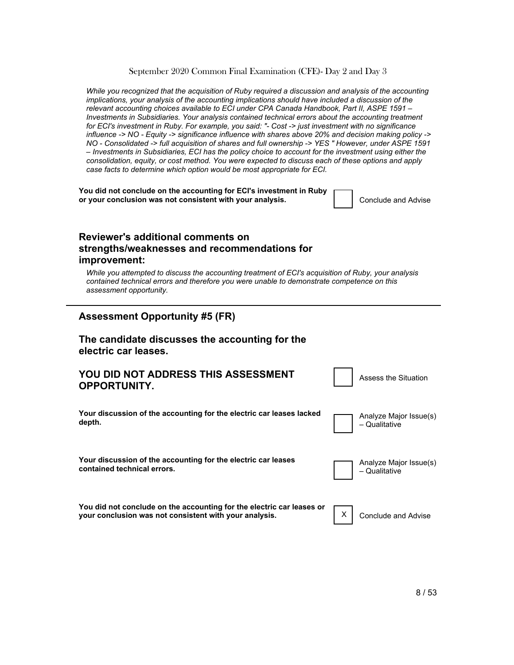*While you recognized that the acquisition of Ruby required a discussion and analysis of the accounting implications, your analysis of the accounting implications should have included a discussion of the relevant accounting choices available to ECI under CPA Canada Handbook, Part II, ASPE 1591 – Investments in Subsidiaries. Your analysis contained technical errors about the accounting treatment for ECI's investment in Ruby. For example, you said: "- Cost -> just investment with no significance influence -> NO - Equity -> significance influence with shares above 20% and decision making policy -> NO - Consolidated -> full acquisition of shares and full ownership -> YES " However, under ASPE 1591 – Investments in Subsidiaries, ECI has the policy choice to account for the investment using either the consolidation, equity, or cost method. You were expected to discuss each of these options and apply case facts to determine which option would be most appropriate for ECI.*

**You did not conclude on the accounting for ECI's investment in Ruby or your conclusion was not consistent with your analysis.** The conclude and Advise

#### **Reviewer's additional comments on strengths/weaknesses and recommendations for improvement:**

*While you attempted to discuss the accounting treatment of ECI's acquisition of Ruby, your analysis contained technical errors and therefore you were unable to demonstrate competence on this assessment opportunity.*

#### **Assessment Opportunity #5 (FR)**

#### **The candidate discusses the accounting for the electric car leases.**

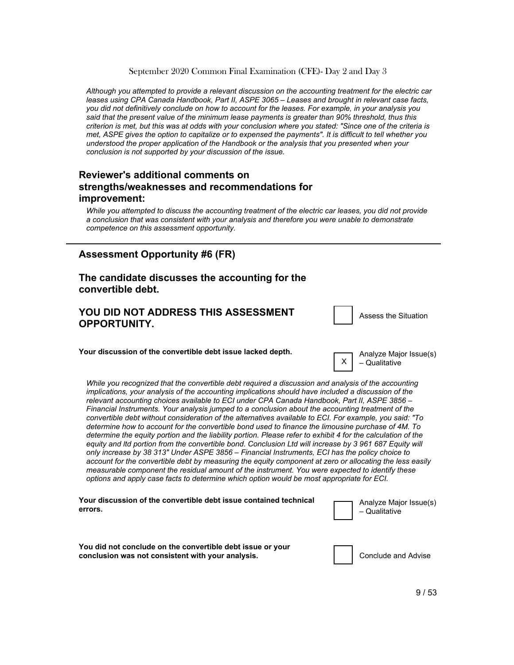*Although you attempted to provide a relevant discussion on the accounting treatment for the electric car leases using CPA Canada Handbook, Part II, ASPE 3065 – Leases and brought in relevant case facts, you did not definitively conclude on how to account for the leases. For example, in your analysis you said that the present value of the minimum lease payments is greater than 90% threshold, thus this criterion is met, but this was at odds with your conclusion where you stated: "Since one of the criteria is met, ASPE gives the option to capitalize or to expensed the payments". It is difficult to tell whether you understood the proper application of the Handbook or the analysis that you presented when your conclusion is not supported by your discussion of the issue.*

#### **Reviewer's additional comments on strengths/weaknesses and recommendations for improvement:**

*While you attempted to discuss the accounting treatment of the electric car leases, you did not provide a conclusion that was consistent with your analysis and therefore you were unable to demonstrate competence on this assessment opportunity.*

#### **Assessment Opportunity #6 (FR)**

#### **The candidate discusses the accounting for the convertible debt.**

#### **YOU DID NOT ADDRESS THIS ASSESSMENT OPPORTUNITY.**

Assess
the
Situation

**Your discussion of the convertible debt issue lacked depth.**

Analyze
Major
Issue(s) – Qualitative

X

*While you recognized that the convertible debt required a discussion and analysis of the accounting implications, your analysis of the accounting implications should have included a discussion of the relevant accounting choices available to ECI under CPA Canada Handbook, Part II, ASPE 3856 – Financial Instruments. Your analysis jumped to a conclusion about the accounting treatment of the convertible debt without consideration of the alternatives available to ECI. For example, you said: "To determine how to account for the convertible bond used to finance the limousine purchase of 4M. To determine the equity portion and the liability portion. Please refer to exhibit 4 for the calculation of the*  equity and Itd portion from the convertible bond. Conclusion Ltd will increase by 3 961 687 Equity will *only increase by 38 313" Under ASPE 3856 – Financial Instruments, ECI has the policy choice to account for the convertible debt by measuring the equity component at zero or allocating the less easily measurable component the residual amount of the instrument. You were expected to identify these options and apply case facts to determine which option would be most appropriate for ECI.*

| Your discussion of the convertible debt issue contained technical                                               | Analyze Major Issue(s) |
|-----------------------------------------------------------------------------------------------------------------|------------------------|
| errors.                                                                                                         | – Qualitative          |
| You did not conclude on the convertible debt issue or your<br>conclusion was not consistent with your analysis. | Conclude and Advise    |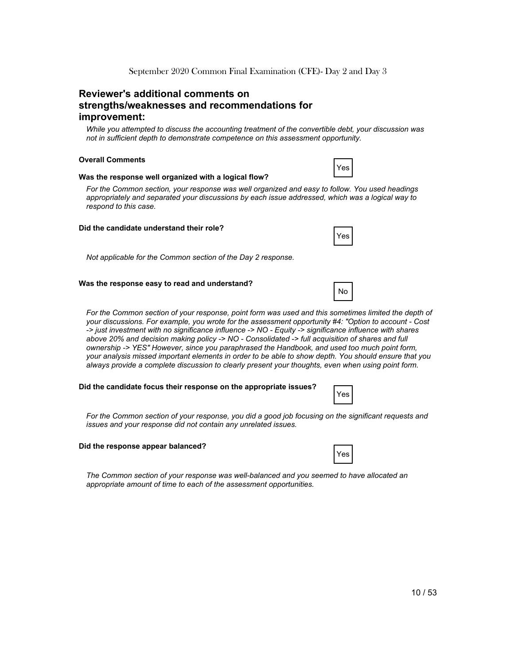#### **Reviewer's additional comments on strengths/weaknesses and recommendations for improvement:**

*While you attempted to discuss the accounting treatment of the convertible debt, your discussion was not in sufficient depth to demonstrate competence on this assessment opportunity.*

#### **Overall Comments**

#### **Was the response well organized with a logical flow?**

*For the Common section, your response was well organized and easy to follow. You used headings appropriately and separated your discussions by each issue addressed, which was a logical way to respond to this case.*

#### **Did the candidate understand their role?**

*Not applicable for the Common section of the Day 2 response.*

#### **Was the response easy to read and understand?**

For the Common section of your response, point form was used and this sometimes limited the depth of *your discussions. For example, you wrote for the assessment opportunity #4: "Option to account - Cost -> just investment with no significance influence -> NO - Equity -> significance influence with shares above 20% and decision making policy -> NO - Consolidated -> full acquisition of shares and full ownership -> YES" However, since you paraphrased the Handbook, and used too much point form, your analysis missed important elements in order to be able to show depth. You should ensure that you always provide a complete discussion to clearly present your thoughts, even when using point form.*

#### **Did the candidate focus their response on the appropriate issues?**

*For the Common section of your response, you did a good job focusing on the significant requests and issues and your response did not contain any unrelated issues.*

#### **Did the response appear balanced?**

*The Common section of your response was well-balanced and you seemed to have allocated an appropriate amount of time to each of the assessment opportunities.*



Yes



Yes

No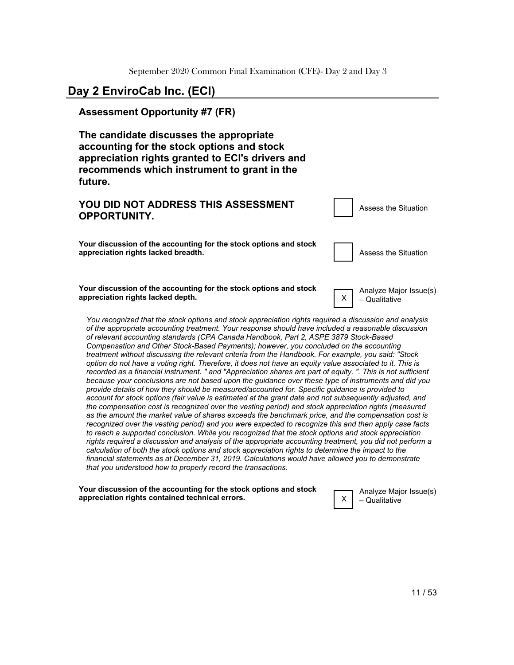### **Day 2 EnviroCab Inc. (ECI)**

#### **Assessment Opportunity #7 (FR)**

**The candidate discusses the appropriate accounting for the stock options and stock appreciation rights granted to ECI's drivers and recommends which instrument to grant in the future.**

| YOU DID NOT ADDRESS THIS ASSESSMENT<br><b>OPPORTUNITY.</b>                                               | Assess the Situation                      |
|----------------------------------------------------------------------------------------------------------|-------------------------------------------|
| Your discussion of the accounting for the stock options and stock<br>appreciation rights lacked breadth. | Assess the Situation                      |
| Your discussion of the accounting for the stock options and stock<br>appreciation rights lacked depth.   | Analyze Major Issue(s)<br>X - Qualitative |

*You recognized that the stock options and stock appreciation rights required a discussion and analysis of the appropriate accounting treatment. Your response should have included a reasonable discussion of relevant accounting standards (CPA Canada Handbook, Part 2, ASPE 3879 Stock-Based Compensation and Other Stock-Based Payments); however, you concluded on the accounting treatment without discussing the relevant criteria from the Handbook. For example, you said: "Stock option do not have a voting right. Therefore, it does not have an equity value associated to it. This is recorded as a financial instrument. " and "Appreciation shares are part of equity. ". This is not sufficient because your conclusions are not based upon the guidance over these type of instruments and did you provide details of how they should be measured/accounted for. Specific guidance is provided to account for stock options (fair value is estimated at the grant date and not subsequently adjusted, and the compensation cost is recognized over the vesting period) and stock appreciation rights (measured as the amount the market value of shares exceeds the benchmark price, and the compensation cost is recognized over the vesting period) and you were expected to recognize this and then apply case facts to reach a supported conclusion. While you recognized that the stock options and stock appreciation rights required a discussion and analysis of the appropriate accounting treatment, you did not perform a calculation of both the stock options and stock appreciation rights to determine the impact to the financial statements as at December 31, 2019. Calculations would have allowed you to demonstrate that you understood how to properly record the transactions.*

**Your discussion of the accounting for the stock options and stock appreciation rights contained technical errors.**



Analyze
Major
Issue(s) – Qualitative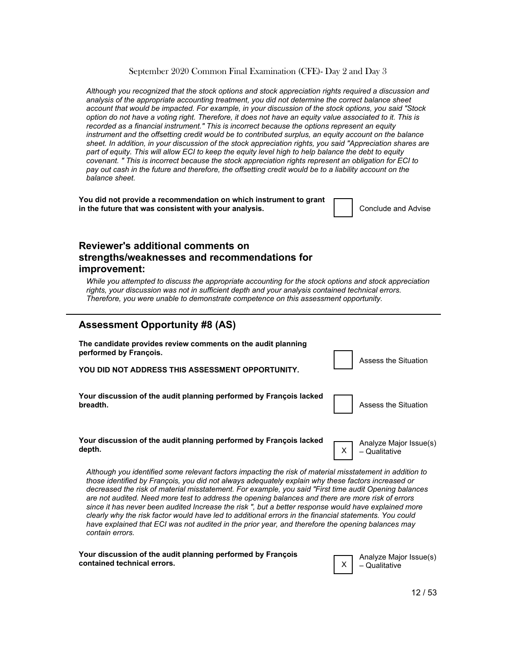*Although you recognized that the stock options and stock appreciation rights required a discussion and analysis of the appropriate accounting treatment, you did not determine the correct balance sheet account that would be impacted. For example, in your discussion of the stock options, you said "Stock option do not have a voting right. Therefore, it does not have an equity value associated to it. This is recorded as a financial instrument." This is incorrect because the options represent an equity instrument and the offsetting credit would be to contributed surplus, an equity account on the balance sheet. In addition, in your discussion of the stock appreciation rights, you said "Appreciation shares are part of equity. This will allow ECI to keep the equity level high to help balance the debt to equity covenant. " This is incorrect because the stock appreciation rights represent an obligation for ECI to pay out cash in the future and therefore, the offsetting credit would be to a liability account on the balance sheet.*

**You did not provide a recommendation on which instrument to grant in the future that was consistent with your analysis.** The Conclude and Advise

#### **Reviewer's additional comments on strengths/weaknesses and recommendations for improvement:**

*While you attempted to discuss the appropriate accounting for the stock options and stock appreciation rights, your discussion was not in sufficient depth and your analysis contained technical errors. Therefore, you were unable to demonstrate competence on this assessment opportunity.*

#### **Assessment Opportunity #8 (AS)**

**The candidate provides review comments on the audit planning performed by François.** 

**YOU DID NOT ADDRESS THIS ASSESSMENT OPPORTUNITY.**

**Your discussion of the audit planning performed by François lacked breadth.** Assess the Situation of the Situation of the Situation of the Situation of the Situation of the Situation

| <b>Assess the Situati</b> |
|---------------------------|

X

| Your discussion of the audit planning performed by François lacked |  |  |
|--------------------------------------------------------------------|--|--|
| depth.                                                             |  |  |

Analyze
Major
Issue(s) – Qualitative

Assess
the
Situation

*Although you identified some relevant factors impacting the risk of material misstatement in addition to those identified by François, you did not always adequately explain why these factors increased or decreased the risk of material misstatement. For example, you said "First time audit Opening balances are not audited. Need more test to address the opening balances and there are more risk of errors since it has never been audited Increase the risk ", but a better response would have explained more clearly why the risk factor would have led to additional errors in the financial statements. You could have explained that ECI was not audited in the prior year, and therefore the opening balances may contain errors.*

| Your discussion of the audit planning performed by François |  |
|-------------------------------------------------------------|--|
| contained technical errors.                                 |  |



12
/
53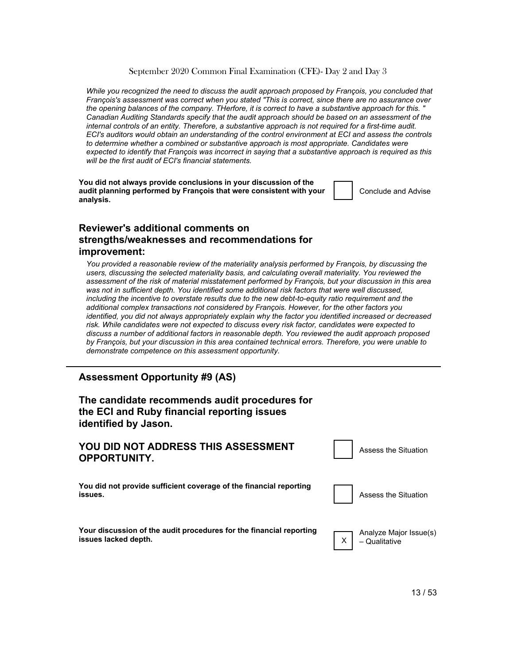*While you recognized the need to discuss the audit approach proposed by François, you concluded that François's assessment was correct when you stated "This is correct, since there are no assurance over the opening balances of the company. THerfore, it is correct to have a substantive approach for this. " Canadian Auditing Standards specify that the audit approach should be based on an assessment of the internal controls of an entity. Therefore, a substantive approach is not required for a first-time audit. ECI's auditors would obtain an understanding of the control environment at ECI and assess the controls to determine whether a combined or substantive approach is most appropriate. Candidates were expected to identify that François was incorrect in saying that a substantive approach is required as this will be the first audit of ECI's financial statements.*

**You did not always provide conclusions in your discussion of the audit planning performed by François that were consistent with your analysis.**

Conclude
and
Advise

#### **Reviewer's additional comments on strengths/weaknesses and recommendations for improvement:**

*You provided a reasonable review of the materiality analysis performed by François, by discussing the users, discussing the selected materiality basis, and calculating overall materiality. You reviewed the assessment of the risk of material misstatement performed by François, but your discussion in this area*  was not in sufficient depth. You identified some additional risk factors that were well discussed, *including the incentive to overstate results due to the new debt-to-equity ratio requirement and the additional complex transactions not considered by François. However, for the other factors you identified, you did not always appropriately explain why the factor you identified increased or decreased risk. While candidates were not expected to discuss every risk factor, candidates were expected to discuss a number of additional factors in reasonable depth. You reviewed the audit approach proposed by François, but your discussion in this area contained technical errors. Therefore, you were unable to demonstrate competence on this assessment opportunity.*

#### **Assessment Opportunity #9 (AS)**

#### **The candidate recommends audit procedures for the ECI and Ruby financial reporting issues identified by Jason.**

#### **YOU DID NOT ADDRESS THIS ASSESSMENT OPPORTUNITY.**

**You did not provide sufficient coverage of the financial reporting issues.** Assess the Situation **in the Situation in the Situation in the Situation** 



Assess
the
Situation

**Your discussion of the audit procedures for the financial reporting issues lacked depth.**



Analyze
Major
Issue(s) – Qualitative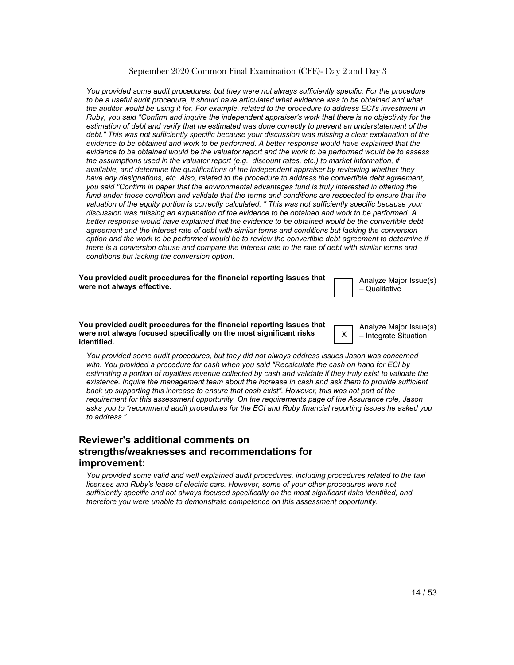*You provided some audit procedures, but they were not always sufficiently specific. For the procedure to be a useful audit procedure, it should have articulated what evidence was to be obtained and what the auditor would be using it for. For example, related to the procedure to address ECI's investment in Ruby, you said "Confirm and inquire the independent appraiser's work that there is no objectivity for the estimation of debt and verify that he estimated was done correctly to prevent an understatement of the debt." This was not sufficiently specific because your discussion was missing a clear explanation of the evidence to be obtained and work to be performed. A better response would have explained that the evidence to be obtained would be the valuator report and the work to be performed would be to assess the assumptions used in the valuator report (e.g., discount rates, etc.) to market information, if available, and determine the qualifications of the independent appraiser by reviewing whether they have any designations, etc. Also, related to the procedure to address the convertible debt agreement, you said "Confirm in paper that the environmental advantages fund is truly interested in offering the fund under those condition and validate that the terms and conditions are respected to ensure that the valuation of the equity portion is correctly calculated. " This was not sufficiently specific because your discussion was missing an explanation of the evidence to be obtained and work to be performed. A better response would have explained that the evidence to be obtained would be the convertible debt agreement and the interest rate of debt with similar terms and conditions but lacking the conversion*  option and the work to be performed would be to review the convertible debt agreement to determine if *there is a conversion clause and compare the interest rate to the rate of debt with similar terms and conditions but lacking the conversion option.*

**You provided audit procedures for the financial reporting issues that were not always effective.**

Analyze
Major
Issue(s) – Qualitative

**You provided audit procedures for the financial reporting issues that were not always focused specifically on the most significant risks identified.**

Analyze
Major
Issue(s) – Integrate
Situation

X

*You provided some audit procedures, but they did not always address issues Jason was concerned with. You provided a procedure for cash when you said "Recalculate the cash on hand for ECI by estimating a portion of royalties revenue collected by cash and validate if they truly exist to validate the existence. Inquire the management team about the increase in cash and ask them to provide sufficient back up supporting this increase to ensure that cash exist". However, this was not part of the requirement for this assessment opportunity. On the requirements page of the Assurance role, Jason asks you to "recommend audit procedures for the ECI and Ruby financial reporting issues he asked you to address."*

#### **Reviewer's additional comments on strengths/weaknesses and recommendations for improvement:**

*You provided some valid and well explained audit procedures, including procedures related to the taxi licenses and Ruby's lease of electric cars. However, some of your other procedures were not sufficiently specific and not always focused specifically on the most significant risks identified, and therefore you were unable to demonstrate competence on this assessment opportunity.*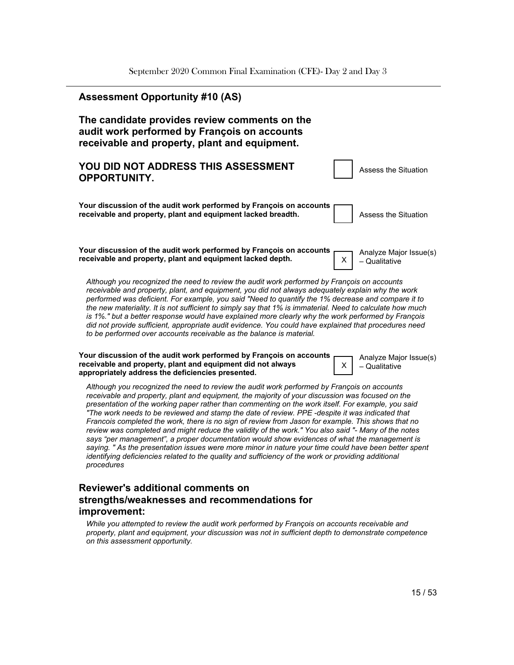| <b>Assessment Opportunity #10 (AS)</b>                                                                                                                                                                                                                                                                                                                                                                                                                                                                                                                                                                                                                                                                                                                                                                                                                                                                                                              |
|-----------------------------------------------------------------------------------------------------------------------------------------------------------------------------------------------------------------------------------------------------------------------------------------------------------------------------------------------------------------------------------------------------------------------------------------------------------------------------------------------------------------------------------------------------------------------------------------------------------------------------------------------------------------------------------------------------------------------------------------------------------------------------------------------------------------------------------------------------------------------------------------------------------------------------------------------------|
| The candidate provides review comments on the<br>audit work performed by François on accounts<br>receivable and property, plant and equipment.                                                                                                                                                                                                                                                                                                                                                                                                                                                                                                                                                                                                                                                                                                                                                                                                      |
| YOU DID NOT ADDRESS THIS ASSESSMENT<br><b>Assess the Situation</b><br><b>OPPORTUNITY.</b>                                                                                                                                                                                                                                                                                                                                                                                                                                                                                                                                                                                                                                                                                                                                                                                                                                                           |
| Your discussion of the audit work performed by François on accounts<br>receivable and property, plant and equipment lacked breadth.<br><b>Assess the Situation</b>                                                                                                                                                                                                                                                                                                                                                                                                                                                                                                                                                                                                                                                                                                                                                                                  |
| Your discussion of the audit work performed by François on accounts<br>Analyze Major Issue(s)<br>receivable and property, plant and equipment lacked depth.<br>X.<br>- Qualitative                                                                                                                                                                                                                                                                                                                                                                                                                                                                                                                                                                                                                                                                                                                                                                  |
| Although you recognized the need to review the audit work performed by François on accounts<br>receivable and property, plant, and equipment, you did not always adequately explain why the work<br>performed was deficient. For example, you said "Need to quantify the 1% decrease and compare it to<br>the new materiality. It is not sufficient to simply say that 1% is immaterial. Need to calculate how much<br>is 1%." but a better response would have explained more clearly why the work performed by François<br>did not provide sufficient, appropriate audit evidence. You could have explained that procedures need<br>to be performed over accounts receivable as the balance is material.                                                                                                                                                                                                                                          |
| Your discussion of the audit work performed by François on accounts<br>Analyze Major Issue(s)<br>receivable and property, plant and equipment did not always<br>Х.<br>- Qualitative<br>appropriately address the deficiencies presented.                                                                                                                                                                                                                                                                                                                                                                                                                                                                                                                                                                                                                                                                                                            |
| Although you recognized the need to review the audit work performed by François on accounts<br>receivable and property, plant and equipment, the majority of your discussion was focused on the<br>presentation of the working paper rather than commenting on the work itself. For example, you said<br>"The work needs to be reviewed and stamp the date of review. PPE -despite it was indicated that<br>Francois completed the work, there is no sign of review from Jason for example. This shows that no<br>review was completed and might reduce the validity of the work." You also said "- Many of the notes<br>says "per management", a proper documentation would show evidences of what the management is<br>saying. " As the presentation issues were more minor in nature your time could have been better spent<br>identifying deficiencies related to the quality and sufficiency of the work or providing additional<br>procedures |
| Reviewer's additional comments on<br>strengths/weaknesses and recommendations for<br>improvement:                                                                                                                                                                                                                                                                                                                                                                                                                                                                                                                                                                                                                                                                                                                                                                                                                                                   |

*While you attempted to review the audit work performed by François on accounts receivable and property, plant and equipment, your discussion was not in sufficient depth to demonstrate competence on this assessment opportunity.*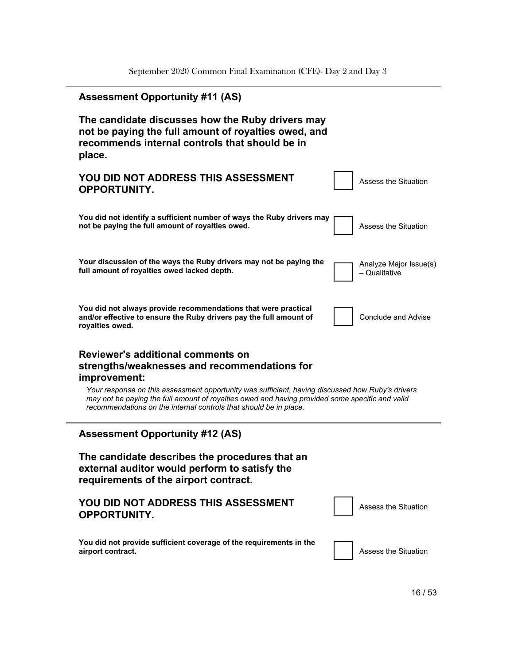L

| <b>Assessment Opportunity #11 (AS)</b>                                                                                                                                                                                                                                                                                                                                        |                                         |
|-------------------------------------------------------------------------------------------------------------------------------------------------------------------------------------------------------------------------------------------------------------------------------------------------------------------------------------------------------------------------------|-----------------------------------------|
| The candidate discusses how the Ruby drivers may<br>not be paying the full amount of royalties owed, and<br>recommends internal controls that should be in<br>place.                                                                                                                                                                                                          |                                         |
| YOU DID NOT ADDRESS THIS ASSESSMENT<br><b>OPPORTUNITY.</b>                                                                                                                                                                                                                                                                                                                    | Assess the Situation                    |
| You did not identify a sufficient number of ways the Ruby drivers may<br>not be paying the full amount of royalties owed.                                                                                                                                                                                                                                                     | Assess the Situation                    |
| Your discussion of the ways the Ruby drivers may not be paying the<br>full amount of royalties owed lacked depth.                                                                                                                                                                                                                                                             | Analyze Major Issue(s)<br>– Qualitative |
| You did not always provide recommendations that were practical<br>and/or effective to ensure the Ruby drivers pay the full amount of<br>royalties owed.                                                                                                                                                                                                                       | <b>Conclude and Advise</b>              |
| Reviewer's additional comments on<br>strengths/weaknesses and recommendations for<br>improvement:<br>Your response on this assessment opportunity was sufficient, having discussed how Ruby's drivers<br>may not be paying the full amount of royalties owed and having provided some specific and valid<br>recommendations on the internal controls that should be in place. |                                         |
| <b>Assessment Opportunity #12 (AS)</b>                                                                                                                                                                                                                                                                                                                                        |                                         |
| The candidate describes the procedures that an<br>external auditor would perform to satisfy the<br>requirements of the airport contract.                                                                                                                                                                                                                                      |                                         |
| YOU DID NOT ADDRESS THIS ASSESSMENT<br><b>OPPORTUNITY.</b>                                                                                                                                                                                                                                                                                                                    | <b>Assess the Situation</b>             |
| You did not provide sufficient coverage of the requirements in the<br>airport contract.                                                                                                                                                                                                                                                                                       | <b>Assess the Situation</b>             |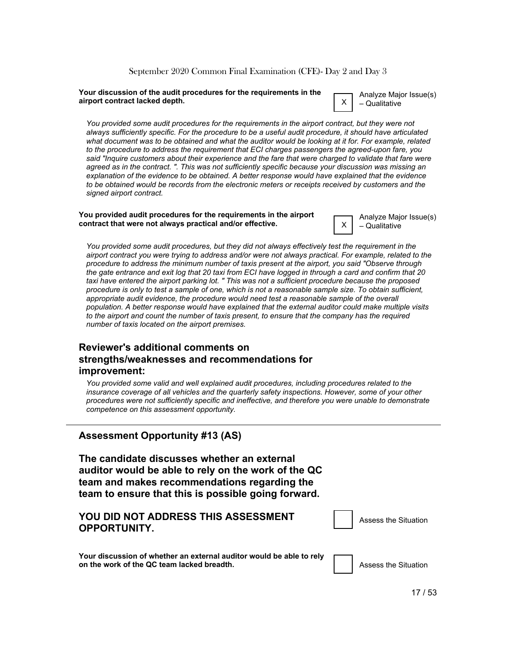#### **Your discussion of the audit procedures for the requirements in the airport contract lacked depth.**

Analyze
Major
Issue(s) – Qualitative

X

X

*You provided some audit procedures for the requirements in the airport contract, but they were not always sufficiently specific. For the procedure to be a useful audit procedure, it should have articulated what document was to be obtained and what the auditor would be looking at it for. For example, related to the procedure to address the requirement that ECI charges passengers the agreed-upon fare, you said "Inquire customers about their experience and the fare that were charged to validate that fare were agreed as in the contract. ". This was not sufficiently specific because your discussion was missing an explanation of the evidence to be obtained. A better response would have explained that the evidence to be obtained would be records from the electronic meters or receipts received by customers and the signed airport contract.*

#### **You provided audit procedures for the requirements in the airport contract that were not always practical and/or effective.**

Analyze
Major
Issue(s) – Qualitative

*You provided some audit procedures, but they did not always effectively test the requirement in the airport contract you were trying to address and/or were not always practical. For example, related to the procedure to address the minimum number of taxis present at the airport, you said "Observe through the gate entrance and exit log that 20 taxi from ECI have logged in through a card and confirm that 20 taxi have entered the airport parking lot. " This was not a sufficient procedure because the proposed procedure is only to test a sample of one, which is not a reasonable sample size. To obtain sufficient, appropriate audit evidence, the procedure would need test a reasonable sample of the overall population. A better response would have explained that the external auditor could make multiple visits*  to the airport and count the number of taxis present, to ensure that the company has the required *number of taxis located on the airport premises.*

#### **Reviewer's additional comments on strengths/weaknesses and recommendations for improvement:**

*You provided some valid and well explained audit procedures, including procedures related to the insurance coverage of all vehicles and the quarterly safety inspections. However, some of your other procedures were not sufficiently specific and ineffective, and therefore you were unable to demonstrate competence on this assessment opportunity.*

#### **Assessment Opportunity #13 (AS)**

**The candidate discusses whether an external auditor would be able to rely on the work of the QC team and makes recommendations regarding the team to ensure that this is possible going forward.**

#### **YOU DID NOT ADDRESS THIS ASSESSMENT OPPORTUNITY.**

Assess
the
Situation

**Your discussion of whether an external auditor would be able to rely** on the work of the QC team lacked breadth. The state of the Situation of the Situation of the Situation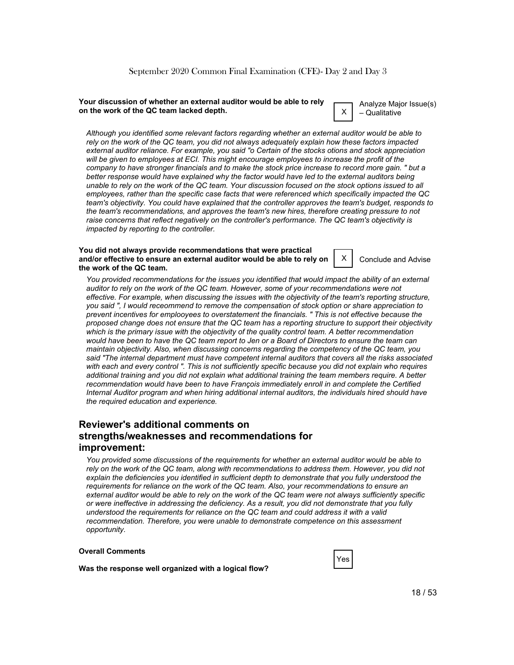#### **Your discussion of whether an external auditor would be able to rely on the work of the QC team lacked depth.** X

Analyze
Major
Issue(s) – Qualitative

*Although you identified some relevant factors regarding whether an external auditor would be able to rely on the work of the QC team, you did not always adequately explain how these factors impacted external auditor reliance. For example, you said "o Certain of the stocks otions and stock appreciation will be given to employees at ECI. This might encourage employees to increase the profit of the company to have stronger financials and to make the stock price increase to record more gain. " but a better response would have explained why the factor would have led to the external auditors being unable to rely on the work of the QC team. Your discussion focused on the stock options issued to all employees, rather than the specific case facts that were referenced which specifically impacted the QC team's objectivity. You could have explained that the controller approves the team's budget, responds to the team's recommendations, and approves the team's new hires, therefore creating pressure to not raise concerns that reflect negatively on the controller's performance. The QC team's objectivity is impacted by reporting to the controller.*

#### **You did not always provide recommendations that were practical and/or effective to ensure an external auditor would be able to rely on the work of the QC team.**

X Conclude
and
Advise

*You provided recommendations for the issues you identified that would impact the ability of an external auditor to rely on the work of the QC team. However, some of your recommendations were not effective. For example, when discussing the issues with the objectivity of the team's reporting structure, you said ", I would receommend to remove the compensation of stock option or share appreciation to prevent incentives for emplooyees to overstatement the financials. " This is not effective because the proposed change does not ensure that the QC team has a reporting structure to support their objectivity which is the primary issue with the objectivity of the quality control team. A better recommendation would have been to have the QC team report to Jen or a Board of Directors to ensure the team can maintain objectivity. Also, when discussing concerns regarding the competency of the QC team, you said "The internal department must have competent internal auditors that covers all the risks associated with each and every control ". This is not sufficiently specific because you did not explain who requires additional training and you did not explain what additional training the team members require. A better recommendation would have been to have François immediately enroll in and complete the Certified Internal Auditor program and when hiring additional internal auditors, the individuals hired should have the required education and experience.*

#### **Reviewer's additional comments on strengths/weaknesses and recommendations for improvement:**

*You provided some discussions of the requirements for whether an external auditor would be able to rely on the work of the QC team, along with recommendations to address them. However, you did not explain the deficiencies you identified in sufficient depth to demonstrate that you fully understood the requirements for reliance on the work of the QC team. Also, your recommendations to ensure an external auditor would be able to rely on the work of the QC team were not always sufficiently specific or were ineffective in addressing the deficiency. As a result, you did not demonstrate that you fully understood the requirements for reliance on the QC team and could address it with a valid recommendation. Therefore, you were unable to demonstrate competence on this assessment opportunity.*

#### **Overall Comments**

**Was the response well organized with a logical flow?**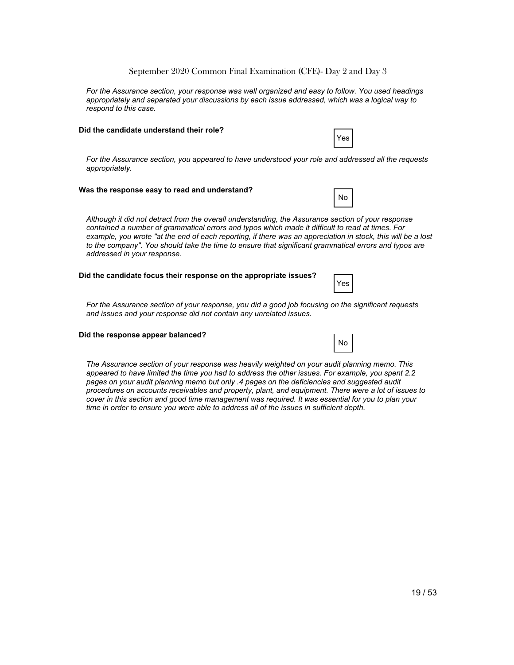*For the Assurance section, your response was well organized and easy to follow. You used headings appropriately and separated your discussions by each issue addressed, which was a logical way to respond to this case.*

#### **Did the candidate understand their role?**

*For the Assurance section, you appeared to have understood your role and addressed all the requests appropriately.*

#### **Was the response easy to read and understand?**

*Although it did not detract from the overall understanding, the Assurance section of your response contained a number of grammatical errors and typos which made it difficult to read at times. For example, you wrote "at the end of each reporting, if there was an appreciation in stock, this will be a lost to the company". You should take the time to ensure that significant grammatical errors and typos are addressed in your response.*

#### **Did the candidate focus their response on the appropriate issues?**

Yes

No

*For the Assurance section of your response, you did a good job focusing on the significant requests and issues and your response did not contain any unrelated issues.*

#### **Did the response appear balanced?**

|--|

*The Assurance section of your response was heavily weighted on your audit planning memo. This appeared to have limited the time you had to address the other issues. For example, you spent 2.2*  pages on your audit planning memo but only .4 pages on the deficiencies and suggested audit *procedures on accounts receivables and property, plant, and equipment. There were a lot of issues to cover in this section and good time management was required. It was essential for you to plan your time in order to ensure you were able to address all of the issues in sufficient depth.*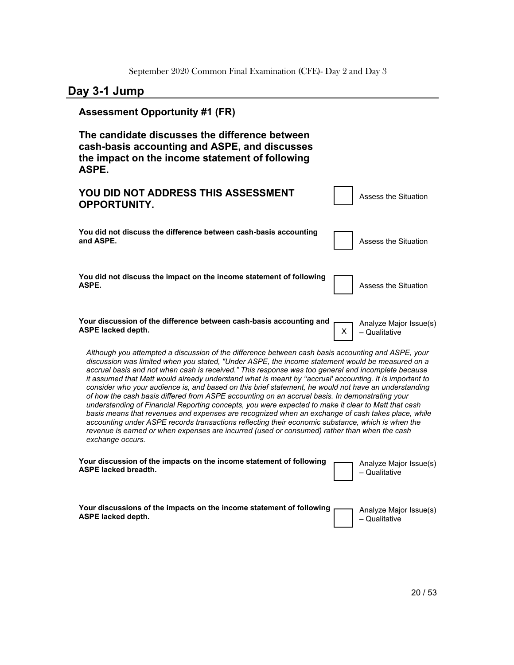# **Day 3-1 Jump**

| <b>Assessment Opportunity #1 (FR)</b>                                                                                                                                                                                                                                                                                                                                                                                                                                                                                                                                                                                                                                                                                                                                                                                                                                                                                                                                                                                                                                  |  |  |
|------------------------------------------------------------------------------------------------------------------------------------------------------------------------------------------------------------------------------------------------------------------------------------------------------------------------------------------------------------------------------------------------------------------------------------------------------------------------------------------------------------------------------------------------------------------------------------------------------------------------------------------------------------------------------------------------------------------------------------------------------------------------------------------------------------------------------------------------------------------------------------------------------------------------------------------------------------------------------------------------------------------------------------------------------------------------|--|--|
| The candidate discusses the difference between<br>cash-basis accounting and ASPE, and discusses<br>the impact on the income statement of following<br>ASPE.                                                                                                                                                                                                                                                                                                                                                                                                                                                                                                                                                                                                                                                                                                                                                                                                                                                                                                            |  |  |
| YOU DID NOT ADDRESS THIS ASSESSMENT<br><b>Assess the Situation</b><br><b>OPPORTUNITY.</b>                                                                                                                                                                                                                                                                                                                                                                                                                                                                                                                                                                                                                                                                                                                                                                                                                                                                                                                                                                              |  |  |
| You did not discuss the difference between cash-basis accounting<br>and ASPE.<br><b>Assess the Situation</b>                                                                                                                                                                                                                                                                                                                                                                                                                                                                                                                                                                                                                                                                                                                                                                                                                                                                                                                                                           |  |  |
| You did not discuss the impact on the income statement of following<br>ASPE.<br><b>Assess the Situation</b>                                                                                                                                                                                                                                                                                                                                                                                                                                                                                                                                                                                                                                                                                                                                                                                                                                                                                                                                                            |  |  |
| Your discussion of the difference between cash-basis accounting and<br>Analyze Major Issue(s)<br><b>ASPE lacked depth.</b><br>X.<br>- Qualitative                                                                                                                                                                                                                                                                                                                                                                                                                                                                                                                                                                                                                                                                                                                                                                                                                                                                                                                      |  |  |
| Although you attempted a discussion of the difference between cash basis accounting and ASPE, your<br>discussion was limited when you stated, "Under ASPE, the income statement would be measured on a<br>accrual basis and not when cash is received." This response was too general and incomplete because<br>it assumed that Matt would already understand what is meant by "accrual' accounting. It is important to<br>consider who your audience is, and based on this brief statement, he would not have an understanding<br>of how the cash basis differed from ASPE accounting on an accrual basis. In demonstrating your<br>understanding of Financial Reporting concepts, you were expected to make it clear to Matt that cash<br>basis means that revenues and expenses are recognized when an exchange of cash takes place, while<br>accounting under ASPE records transactions reflecting their economic substance, which is when the<br>revenue is earned or when expenses are incurred (used or consumed) rather than when the cash<br>exchange occurs. |  |  |
| Your discussion of the impacts on the income statement of following<br>Analyze Major Issue(s)<br><b>ASPE lacked breadth.</b><br>- Qualitative                                                                                                                                                                                                                                                                                                                                                                                                                                                                                                                                                                                                                                                                                                                                                                                                                                                                                                                          |  |  |
| Your discussions of the impacts on the income statement of following<br>Analyze Major Issue(s)<br><b>ASPE lacked depth.</b><br>– Qualitative                                                                                                                                                                                                                                                                                                                                                                                                                                                                                                                                                                                                                                                                                                                                                                                                                                                                                                                           |  |  |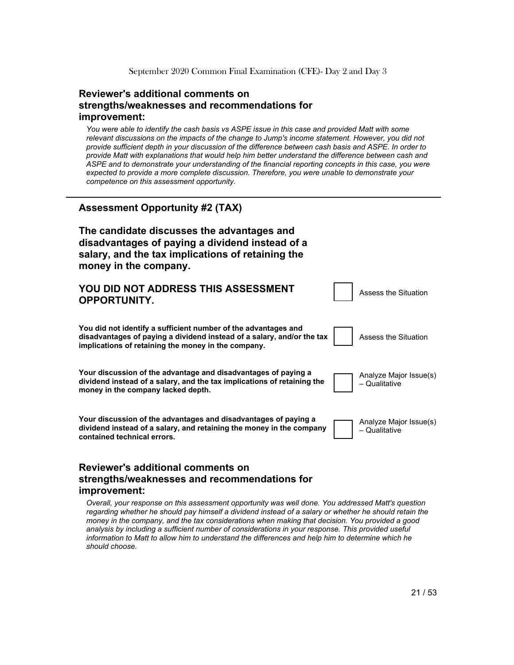#### **Reviewer's additional comments on strengths/weaknesses and recommendations for improvement:**

*You were able to identify the cash basis vs ASPE issue in this case and provided Matt with some relevant discussions on the impacts of the change to Jump's income statement. However, you did not provide sufficient depth in your discussion of the difference between cash basis and ASPE. In order to provide Matt with explanations that would help him better understand the difference between cash and ASPE and to demonstrate your understanding of the financial reporting concepts in this case, you were expected to provide a more complete discussion. Therefore, you were unable to demonstrate your competence on this assessment opportunity.*

#### **Assessment Opportunity #2 (TAX)**

**The candidate discusses the advantages and disadvantages of paying a dividend instead of a salary, and the tax implications of retaining the money in the company.**

| YOU DID NOT ADDRESS THIS ASSESSMENT<br><b>OPPORTUNITY.</b>                                                                                                                                      | Assess the Situation                    |
|-------------------------------------------------------------------------------------------------------------------------------------------------------------------------------------------------|-----------------------------------------|
| You did not identify a sufficient number of the advantages and<br>disadvantages of paying a dividend instead of a salary, and/or the tax<br>implications of retaining the money in the company. | Assess the Situation                    |
| Your discussion of the advantage and disadvantages of paying a<br>dividend instead of a salary, and the tax implications of retaining the<br>money in the company lacked depth.                 | Analyze Major Issue(s)<br>- Qualitative |
| Your discussion of the advantages and disadvantages of paying a<br>dividend instead of a salary, and retaining the money in the company<br>contained technical errors.                          | Analyze Major Issue(s)<br>- Qualitative |

#### **Reviewer's additional comments on strengths/weaknesses and recommendations for improvement:**

*Overall, your response on this assessment opportunity was well done. You addressed Matt's question*  regarding whether he should pay himself a dividend instead of a salary or whether he should retain the *money in the company, and the tax considerations when making that decision. You provided a good*  analysis by including a sufficient number of considerations in your response. This provided useful *information to Matt to allow him to understand the differences and help him to determine which he should choose.*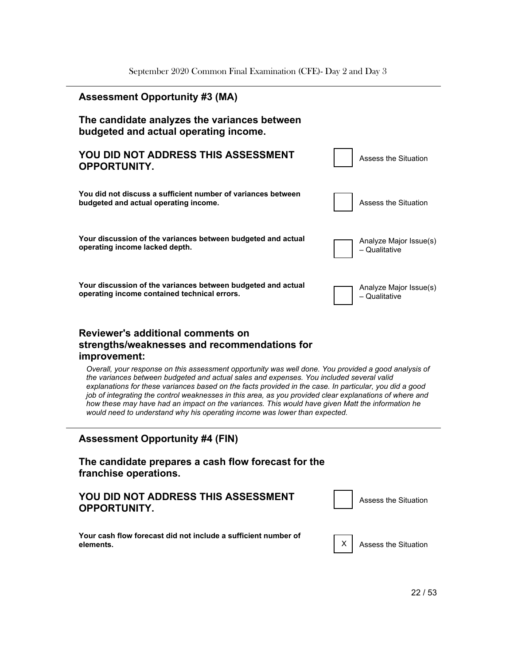

*the variances between budgeted and actual sales and expenses. You included several valid explanations for these variances based on the facts provided in the case. In particular, you did a good job of integrating the control weaknesses in this area, as you provided clear explanations of where and how these may have had an impact on the variances. This would have given Matt the information he would need to understand why his operating income was lower than expected.*

#### **Assessment Opportunity #4 (FIN)**

#### **The candidate prepares a cash flow forecast for the franchise operations.**

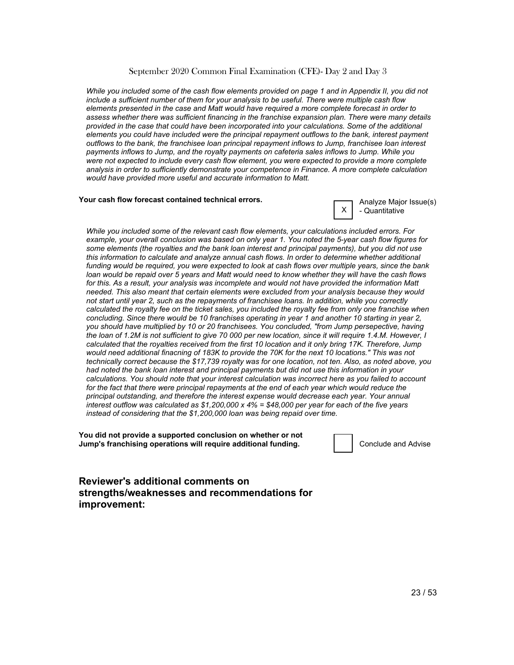*While you included some of the cash flow elements provided on page 1 and in Appendix II, you did not include a sufficient number of them for your analysis to be useful. There were multiple cash flow elements presented in the case and Matt would have required a more complete forecast in order to assess whether there was sufficient financing in the franchise expansion plan. There were many details provided in the case that could have been incorporated into your calculations. Some of the additional elements you could have included were the principal repayment outflows to the bank, interest payment outflows to the bank, the franchisee loan principal repayment inflows to Jump, franchisee loan interest payments inflows to Jump, and the royalty payments on cafeteria sales inflows to Jump. While you were not expected to include every cash flow element, you were expected to provide a more complete analysis in order to sufficiently demonstrate your competence in Finance. A more complete calculation would have provided more useful and accurate information to Matt.*

#### **Your cash flow forecast contained technical errors.**



*While you included some of the relevant cash flow elements, your calculations included errors. For example, your overall conclusion was based on only year 1. You noted the 5-year cash flow figures for some elements (the royalties and the bank loan interest and principal payments), but you did not use this information to calculate and analyze annual cash flows. In order to determine whether additional funding would be required, you were expected to look at cash flows over multiple years, since the bank loan would be repaid over 5 years and Matt would need to know whether they will have the cash flows for this. As a result, your analysis was incomplete and would not have provided the information Matt needed. This also meant that certain elements were excluded from your analysis because they would not start until year 2, such as the repayments of franchisee loans. In addition, while you correctly calculated the royalty fee on the ticket sales, you included the royalty fee from only one franchise when concluding. Since there would be 10 franchises operating in year 1 and another 10 starting in year 2, you should have multiplied by 10 or 20 franchisees. You concluded, "from Jump persepective, having the loan of 1.2M is not sufficient to give 70 000 per new location, since it will require 1.4.M. However, I calculated that the royalties received from the first 10 location and it only bring 17K. Therefore, Jump would need additional finacning of 183K to provide the 70K for the next 10 locations." This was not technically correct because the \$17,739 royalty was for one location, not ten. Also, as noted above, you had noted the bank loan interest and principal payments but did not use this information in your calculations. You should note that your interest calculation was incorrect here as you failed to account*  for the fact that there were principal repayments at the end of each year which would reduce the *principal outstanding, and therefore the interest expense would decrease each year. Your annual interest outflow was calculated as \$1,200,000 x 4% = \$48,000 per year for each of the five years instead of considering that the \$1,200,000 loan was being repaid over time.*

**You did not provide a supported conclusion on whether or not Jump's franchising operations will require additional funding.** The conclude and Advise

**Reviewer's additional comments on strengths/weaknesses and recommendations for improvement:**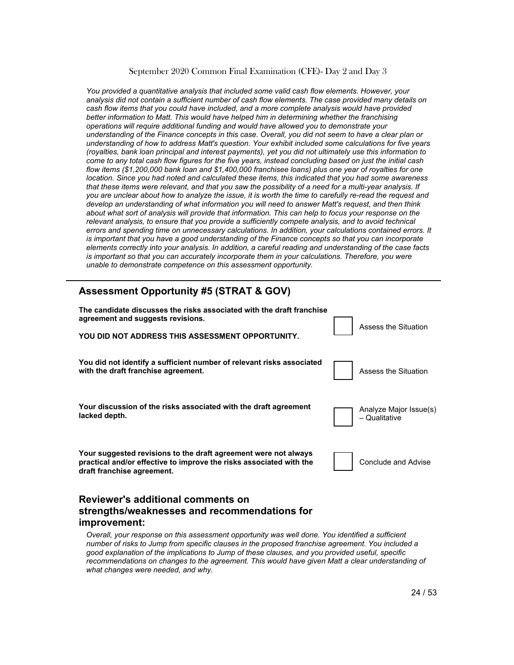*You provided a quantitative analysis that included some valid cash flow elements. However, your analysis did not contain a sufficient number of cash flow elements. The case provided many details on cash flow items that you could have included, and a more complete analysis would have provided better information to Matt. This would have helped him in determining whether the franchising operations will require additional funding and would have allowed you to demonstrate your understanding of the Finance concepts in this case. Overall, you did not seem to have a clear plan or understanding of how to address Matt's question. Your exhibit included some calculations for five years (royalties, bank loan principal and interest payments), yet you did not ultimately use this information to come to any total cash flow figures for the five years, instead concluding based on just the initial cash flow items (\$1,200,000 bank loan and \$1,400,000 franchisee loans) plus one year of royalties for one location. Since you had noted and calculated these items, this indicated that you had some awareness that these items were relevant, and that you saw the possibility of a need for a multi-year analysis. If you are unclear about how to analyze the issue, it is worth the time to carefully re-read the request and develop an understanding of what information you will need to answer Matt's request, and then think about what sort of analysis will provide that information. This can help to focus your response on the relevant analysis, to ensure that you provide a sufficiently compete analysis, and to avoid technical errors and spending time on unnecessary calculations. In addition, your calculations contained errors. It is important that you have a good understanding of the Finance concepts so that you can incorporate elements correctly into your analysis. In addition, a careful reading and understanding of the case facts is important so that you can accurately incorporate them in your calculations. Therefore, you were unable to demonstrate competence on this assessment opportunity.*

# **Assessment Opportunity #5 (STRAT & GOV) The candidate discusses the risks associated with the draft franchise agreement and suggests revisions. YOU DID NOT ADDRESS THIS ASSESSMENT OPPORTUNITY.** Assess
the
Situation **You did not identify a sufficient number of relevant risks associated with the draft franchise agreement.** Assess the Situation **Number of the Situation Your discussion of the risks associated with the draft agreement lacked depth.** Analyze
Major
Issue(s) – Qualitative **Your suggested revisions to the draft agreement were not always practical and/or effective to improve the risks associated with the draft franchise agreement.** Conclude
and
Advise

#### **Reviewer's additional comments on strengths/weaknesses and recommendations for improvement:**

*Overall, your response on this assessment opportunity was well done. You identified a sufficient number of risks to Jump from specific clauses in the proposed franchise agreement. You included a good explanation of the implications to Jump of these clauses, and you provided useful, specific*  recommendations on changes to the agreement. This would have given Matt a clear understanding of *what changes were needed, and why.*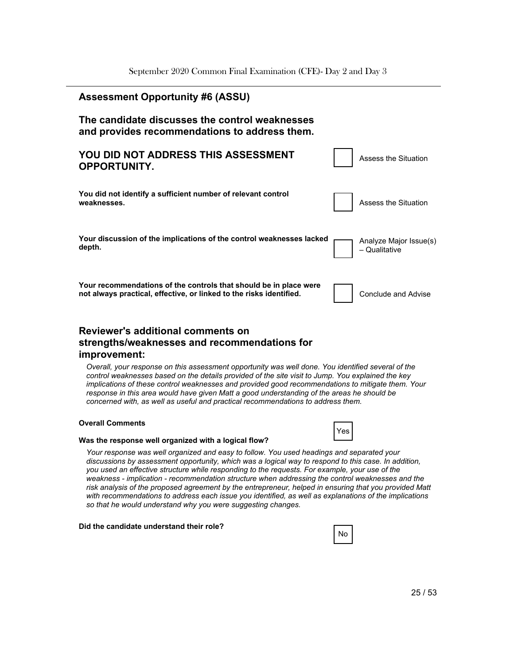| <b>Assessment Opportunity #6 (ASSU)</b>                                                                                                  |                                         |
|------------------------------------------------------------------------------------------------------------------------------------------|-----------------------------------------|
| The candidate discusses the control weaknesses<br>and provides recommendations to address them.                                          |                                         |
| YOU DID NOT ADDRESS THIS ASSESSMENT<br><b>OPPORTUNITY.</b>                                                                               | Assess the Situation                    |
| You did not identify a sufficient number of relevant control<br>weaknesses.                                                              | Assess the Situation                    |
| Your discussion of the implications of the control weaknesses lacked<br>depth.                                                           | Analyze Major Issue(s)<br>- Qualitative |
| Your recommendations of the controls that should be in place were<br>not always practical, effective, or linked to the risks identified. | Conclude and Advise                     |

#### **Reviewer's additional comments on strengths/weaknesses and recommendations for improvement:**

*Overall, your response on this assessment opportunity was well done. You identified several of the control weaknesses based on the details provided of the site visit to Jump. You explained the key implications of these control weaknesses and provided good recommendations to mitigate them. Your response in this area would have given Matt a good understanding of the areas he should be concerned with, as well as useful and practical recommendations to address them.*

#### **Overall Comments**



#### **Was the response well organized with a logical flow?**

*Your response was well organized and easy to follow. You used headings and separated your discussions by assessment opportunity, which was a logical way to respond to this case. In addition, you used an effective structure while responding to the requests. For example, your use of the weakness - implication - recommendation structure when addressing the control weaknesses and the risk analysis of the proposed agreement by the entrepreneur, helped in ensuring that you provided Matt with recommendations to address each issue you identified, as well as explanations of the implications so that he would understand why you were suggesting changes.*

#### **Did the candidate understand their role?**

|--|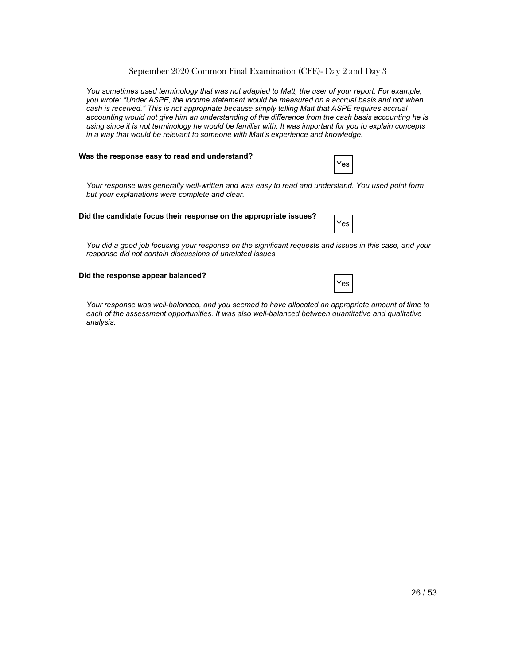*You sometimes used terminology that was not adapted to Matt, the user of your report. For example, you wrote: "Under ASPE, the income statement would be measured on a accrual basis and not when cash is received." This is not appropriate because simply telling Matt that ASPE requires accrual accounting would not give him an understanding of the difference from the cash basis accounting he is using since it is not terminology he would be familiar with. It was important for you to explain concepts in a way that would be relevant to someone with Matt's experience and knowledge.*

#### **Was the response easy to read and understand?**

*Your response was generally well-written and was easy to read and understand. You used point form but your explanations were complete and clear.*

#### **Did the candidate focus their response on the appropriate issues?**

*You did a good job focusing your response on the significant requests and issues in this case, and your response did not contain discussions of unrelated issues.*

#### **Did the response appear balanced?**

|--|--|

Yes

Yes

*Your response was well-balanced, and you seemed to have allocated an appropriate amount of time to*  each of the assessment opportunities. It was also well-balanced between quantitative and qualitative *analysis.*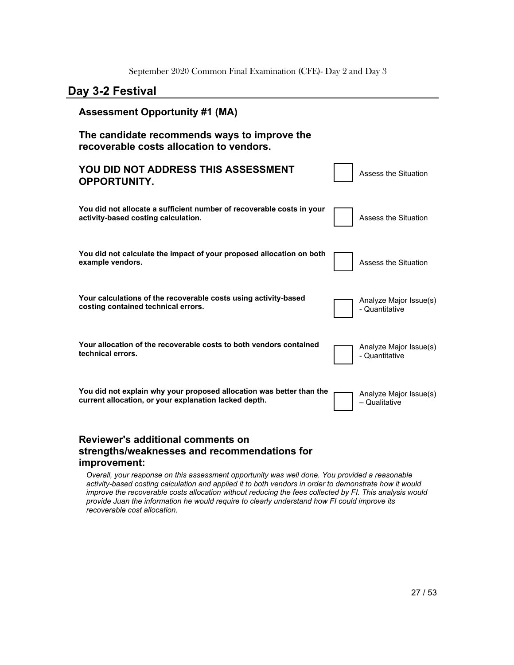### **Day 3-2 Festival**

| <b>Assessment Opportunity #1 (MA)</b>                                                                                         |                                          |
|-------------------------------------------------------------------------------------------------------------------------------|------------------------------------------|
| The candidate recommends ways to improve the<br>recoverable costs allocation to vendors.                                      |                                          |
| YOU DID NOT ADDRESS THIS ASSESSMENT<br><b>OPPORTUNITY.</b>                                                                    | Assess the Situation                     |
| You did not allocate a sufficient number of recoverable costs in your<br>activity-based costing calculation.                  | Assess the Situation                     |
| You did not calculate the impact of your proposed allocation on both<br>example vendors.                                      | Assess the Situation                     |
| Your calculations of the recoverable costs using activity-based<br>costing contained technical errors.                        | Analyze Major Issue(s)<br>- Quantitative |
| Your allocation of the recoverable costs to both vendors contained<br>technical errors.                                       | Analyze Major Issue(s)<br>- Quantitative |
| You did not explain why your proposed allocation was better than the<br>current allocation, or your explanation lacked depth. | Analyze Major Issue(s)<br>- Qualitative  |
| <b>Reviewer's additional comments on</b>                                                                                      |                                          |

### **strengths/weaknesses and recommendations for improvement:**

*Overall, your response on this assessment opportunity was well done. You provided a reasonable activity-based costing calculation and applied it to both vendors in order to demonstrate how it would improve the recoverable costs allocation without reducing the fees collected by FI. This analysis would provide Juan the information he would require to clearly understand how FI could improve its recoverable cost allocation.*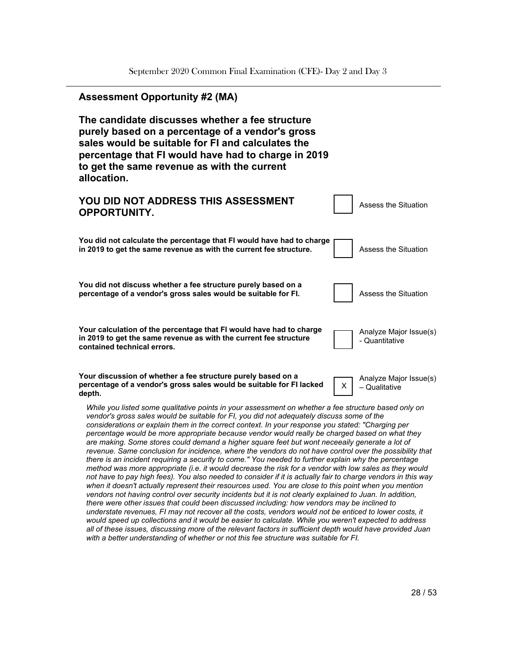

*with a better understanding of whether or not this fee structure was suitable for FI.*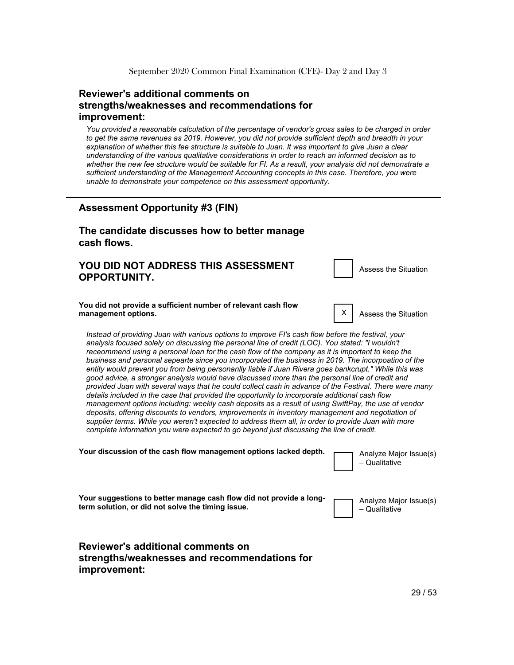#### **Reviewer's additional comments on strengths/weaknesses and recommendations for improvement:**

*You provided a reasonable calculation of the percentage of vendor's gross sales to be charged in order to get the same revenues as 2019. However, you did not provide sufficient depth and breadth in your*  explanation of whether this fee structure is suitable to Juan. It was important to give Juan a clear *understanding of the various qualitative considerations in order to reach an informed decision as to whether the new fee structure would be suitable for FI. As a result, your analysis did not demonstrate a sufficient understanding of the Management Accounting concepts in this case. Therefore, you were unable to demonstrate your competence on this assessment opportunity.*

# **Assessment Opportunity #3 (FIN)**

#### **The candidate discusses how to better manage cash flows.**

#### **YOU DID NOT ADDRESS THIS ASSESSMENT OPPORTUNITY.**

Assess
the
Situation

#### **You did not provide a sufficient number of relevant cash flow management options.** The set of the set of the set of the set of the set of the set of the set of the set of the set of the set of the set of the set of the set of the set of the set of the set of the set of the set of th

*Instead of providing Juan with various options to improve FI's cash flow before the festival, your analysis focused solely on discussing the personal line of credit (LOC). You stated: "I wouldn't receommend using a personal loan for the cash flow of the company as it is important to keep the business and personal sepearte since you incorporated the business in 2019. The incorpoatino of the entity would prevent you from being personanlly liable if Juan Rivera goes bankcrupt." While this was good advice, a stronger analysis would have discussed more than the personal line of credit and provided Juan with several ways that he could collect cash in advance of the Festival. There were many details included in the case that provided the opportunity to incorporate additional cash flow management options including: weekly cash deposits as a result of using SwiftPay, the use of vendor deposits, offering discounts to vendors, improvements in inventory management and negotiation of supplier terms. While you weren't expected to address them all, in order to provide Juan with more complete information you were expected to go beyond just discussing the line of credit.*

Your discussion of the cash flow management options lacked depth. **The analyze Major Issue(s)** – Qualitative **Your suggestions to better manage cash flow did not provide a longterm solution, or did not solve the timing issue.** Analyze
Major
Issue(s) – Qualitative **Reviewer's additional comments on**

# **strengths/weaknesses and recommendations for improvement:**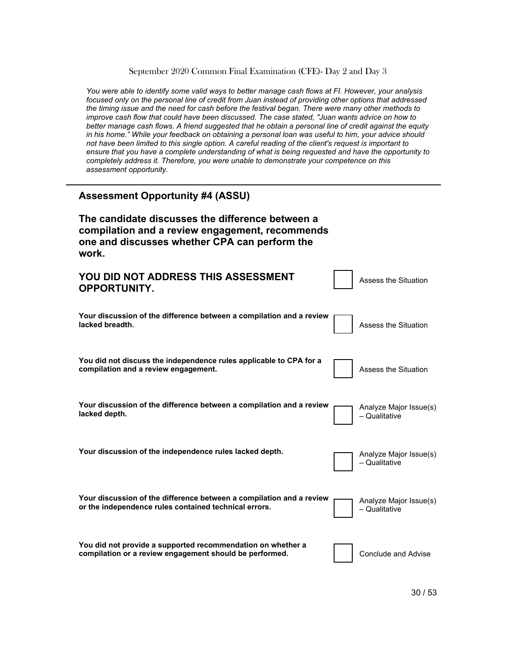*You were able to identify some valid ways to better manage cash flows at FI. However, your analysis focused only on the personal line of credit from Juan instead of providing other options that addressed the timing issue and the need for cash before the festival began. There were many other methods to improve cash flow that could have been discussed. The case stated, "Juan wants advice on how to better manage cash flows. A friend suggested that he obtain a personal line of credit against the equity in his home." While your feedback on obtaining a personal loan was useful to him, your advice should not have been limited to this single option. A careful reading of the client's request is important to ensure that you have a complete understanding of what is being requested and have the opportunity to completely address it. Therefore, you were unable to demonstrate your competence on this assessment opportunity.*

| <b>Assessment Opportunity #4 (ASSU)</b>                                                                                                                       |                                         |
|---------------------------------------------------------------------------------------------------------------------------------------------------------------|-----------------------------------------|
| The candidate discusses the difference between a<br>compilation and a review engagement, recommends<br>one and discusses whether CPA can perform the<br>work. |                                         |
| YOU DID NOT ADDRESS THIS ASSESSMENT<br><b>OPPORTUNITY.</b>                                                                                                    | <b>Assess the Situation</b>             |
| Your discussion of the difference between a compilation and a review<br>lacked breadth.                                                                       | <b>Assess the Situation</b>             |
| You did not discuss the independence rules applicable to CPA for a<br>compilation and a review engagement.                                                    | Assess the Situation                    |
| Your discussion of the difference between a compilation and a review<br>lacked depth.                                                                         | Analyze Major Issue(s)<br>- Qualitative |
| Your discussion of the independence rules lacked depth.                                                                                                       | Analyze Major Issue(s)<br>- Qualitative |
| Your discussion of the difference between a compilation and a review<br>or the independence rules contained technical errors.                                 | Analyze Major Issue(s)<br>- Qualitative |
| You did not provide a supported recommendation on whether a<br>compilation or a review engagement should be performed.                                        | <b>Conclude and Advise</b>              |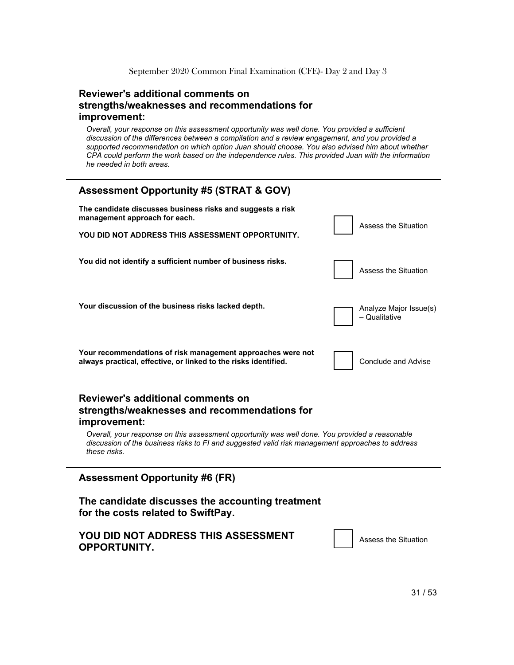#### **Reviewer's additional comments on strengths/weaknesses and recommendations for improvement:**

*Overall, your response on this assessment opportunity was well done. You provided a sufficient discussion of the differences between a compilation and a review engagement, and you provided a supported recommendation on which option Juan should choose. You also advised him about whether CPA could perform the work based on the independence rules. This provided Juan with the information he needed in both areas.*

| <b>Assessment Opportunity #5 (STRAT &amp; GOV)</b>                                                                             |                                         |
|--------------------------------------------------------------------------------------------------------------------------------|-----------------------------------------|
| The candidate discusses business risks and suggests a risk<br>management approach for each.                                    | Assess the Situation                    |
| YOU DID NOT ADDRESS THIS ASSESSMENT OPPORTUNITY.                                                                               |                                         |
| You did not identify a sufficient number of business risks.                                                                    | Assess the Situation                    |
| Your discussion of the business risks lacked depth.                                                                            | Analyze Major Issue(s)<br>- Qualitative |
| Your recommendations of risk management approaches were not<br>always practical, effective, or linked to the risks identified. | Conclude and Advise                     |

#### **Reviewer's additional comments on strengths/weaknesses and recommendations for improvement:**

*Overall, your response on this assessment opportunity was well done. You provided a reasonable discussion of the business risks to FI and suggested valid risk management approaches to address these risks.*

#### **Assessment Opportunity #6 (FR)**

**The candidate discusses the accounting treatment for the costs related to SwiftPay.**

#### **YOU DID NOT ADDRESS THIS ASSESSMENT OPPORTUNITY.**

Assess
the
Situation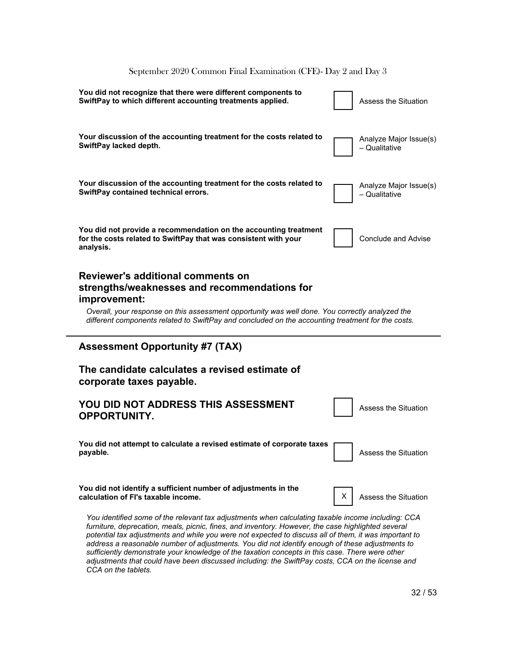# **You did not recognize that there were different components to SwiftPay to which different accounting treatments applied.**  $\begin{vmatrix} \cdot & \cdot \\ \cdot & \cdot \end{vmatrix}$  Assess the Situation **Your discussion of the accounting treatment for the costs related to SwiftPay lacked depth.** Analyze
Major
Issue(s) – Qualitative **Your discussion of the accounting treatment for the costs related to SwiftPay contained technical errors.** Analyze
Major
Issue(s) – Qualitative **You did not provide a recommendation on the accounting treatment for the costs related to SwiftPay that was consistent with your analysis.** Conclude
and
Advise **Reviewer's additional comments on strengths/weaknesses and recommendations for improvement:** *Overall, your response on this assessment opportunity was well done. You correctly analyzed the different components related to SwiftPay and concluded on the accounting treatment for the costs.* **Assessment Opportunity #7 (TAX) The candidate calculates a revised estimate of corporate taxes payable. YOU DID NOT ADDRESS THIS ASSESSMENT OPPORTUNITY.** Assess
the
Situation **You did not attempt to calculate a revised estimate of corporate taxes payable.** Assess the Situation **Contract of the Situation Contract of the Situation Contract of the Situation You did not identify a sufficient number of adjustments in the calculation of FI's taxable income.** The same of the set of the Situation of Situation of  $X \cap X$ *You identified some of the relevant tax adjustments when calculating taxable income including: CCA*  furniture, deprecation, meals, picnic, fines, and inventory. However, the case highlighted several September 2020 Common Final Examination (CFE)- Day 2 and Day 3

*potential tax adjustments and while you were not expected to discuss all of them, it was important to address a reasonable number of adjustments. You did not identify enough of these adjustments to sufficiently demonstrate your knowledge of the taxation concepts in this case. There were other adjustments that could have been discussed including: the SwiftPay costs, CCA on the license and CCA on the tablets.*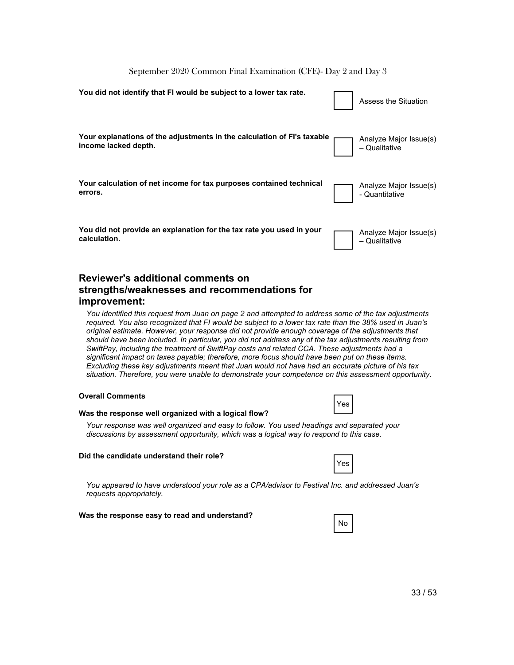| You did not identify that FI would be subject to a lower tax rate.                              | Assess the Situation                      |
|-------------------------------------------------------------------------------------------------|-------------------------------------------|
| Your explanations of the adjustments in the calculation of FI's taxable<br>income lacked depth. | Analyze Major Issue(s)<br>- Qualitative   |
| Your calculation of net income for tax purposes contained technical<br>errors.                  | Analyze Major Issue(s)<br>- Quantitative  |
| You did not provide an explanation for the tax rate you used in your<br>calculation.            | Analyze Major Issue(s)<br>$-$ Qualitative |

#### **Reviewer's additional comments on strengths/weaknesses and recommendations for improvement:**

*You identified this request from Juan on page 2 and attempted to address some of the tax adjustments required. You also recognized that FI would be subject to a lower tax rate than the 38% used in Juan's original estimate. However, your response did not provide enough coverage of the adjustments that should have been included. In particular, you did not address any of the tax adjustments resulting from SwiftPay, including the treatment of SwiftPay costs and related CCA. These adjustments had a significant impact on taxes payable; therefore, more focus should have been put on these items. Excluding these key adjustments meant that Juan would not have had an accurate picture of his tax situation. Therefore, you were unable to demonstrate your competence on this assessment opportunity.*

#### **Overall Comments**

|--|--|--|

#### **Was the response well organized with a logical flow?**

*Your response was well organized and easy to follow. You used headings and separated your discussions by assessment opportunity, which was a logical way to respond to this case.*

#### **Did the candidate understand their role?**

|--|

*You appeared to have understood your role as a CPA/advisor to Festival Inc. and addressed Juan's requests appropriately.*

#### **Was the response easy to read and understand?**

| N<br>n |  |
|--------|--|
|        |  |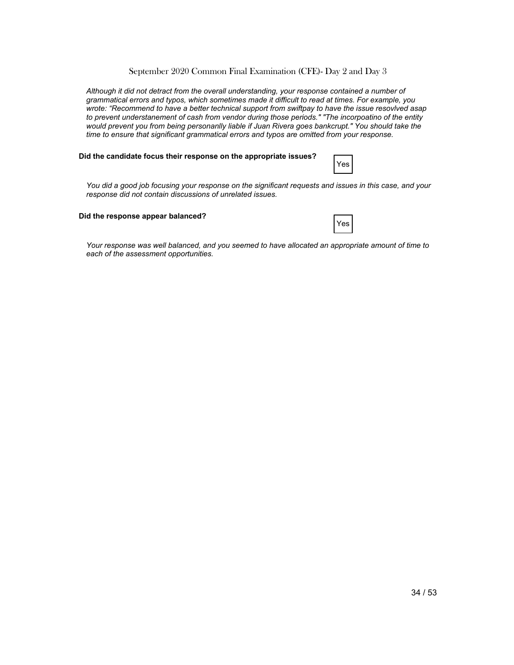*Although it did not detract from the overall understanding, your response contained a number of grammatical errors and typos, which sometimes made it difficult to read at times. For example, you wrote: "Recommend to have a better technical support from swiftpay to have the issue resovlved asap to prevent understanement of cash from vendor during those periods." "The incorpoatino of the entity would prevent you from being personanlly liable if Juan Rivera goes bankcrupt." You should take the time to ensure that significant grammatical errors and typos are omitted from your response.*

#### **Did the candidate focus their response on the appropriate issues?**

|--|

*You did a good job focusing your response on the significant requests and issues in this case, and your response did not contain discussions of unrelated issues.*

#### **Did the response appear balanced?**

|--|

*Your response was well balanced, and you seemed to have allocated an appropriate amount of time to each of the assessment opportunities.*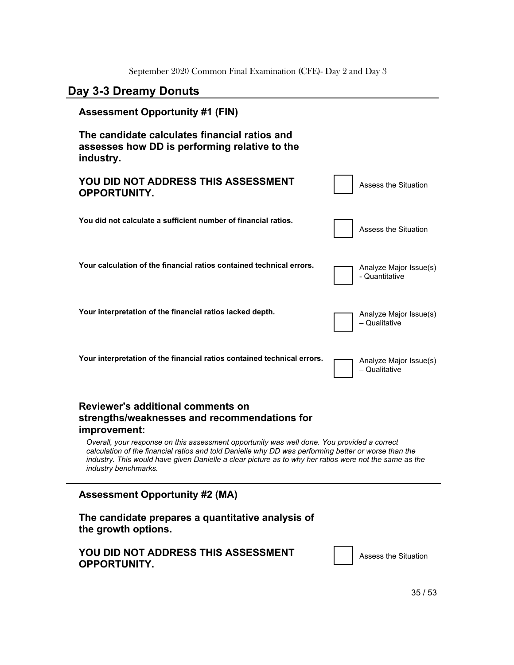# **Day 3-3 Dreamy Donuts**

# **Assessment Opportunity #1 (FIN) The candidate calculates financial ratios and assesses how DD is performing relative to the industry. YOU DID NOT ADDRESS THIS ASSESSMENT OPPORTUNITY.** Assess
the
Situation **You did not calculate a sufficient number of financial ratios.** Assess
the
Situation Your calculation of the financial ratios contained technical errors. The Analyze Major Issue(s) - Quantitative Your interpretation of the financial ratios lacked depth. The Tanalyze Major Issue(s) – Qualitative Your interpretation of the financial ratios contained technical errors. **The Analyze Major Issue(s)** – Qualitative **Reviewer's additional comments on strengths/weaknesses and recommendations for improvement:** *Overall, your response on this assessment opportunity was well done. You provided a correct calculation of the financial ratios and told Danielle why DD was performing better or worse than the industry. This would have given Danielle a clear picture as to why her ratios were not the same as the industry benchmarks.* **Assessment Opportunity #2 (MA) The candidate prepares a quantitative analysis of the growth options.**

#### **YOU DID NOT ADDRESS THIS ASSESSMENT OPPORTUNITY.**

35
/
53

Assess
the
Situation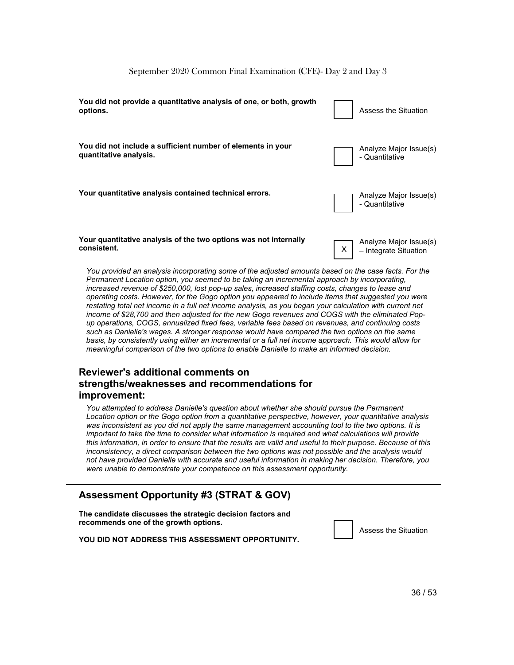| You did not provide a quantitative analysis of one, or both, growth<br>options.       | Assess the Situation                            |
|---------------------------------------------------------------------------------------|-------------------------------------------------|
| You did not include a sufficient number of elements in your<br>quantitative analysis. | Analyze Major Issue(s)<br>- Quantitative        |
| Your quantitative analysis contained technical errors.                                | Analyze Major Issue(s)<br>- Quantitative        |
| Your quantitative analysis of the two options was not internally<br>consistent.       | Analyze Major Issue(s)<br>- Integrate Situation |

*You provided an analysis incorporating some of the adjusted amounts based on the case facts. For the Permanent Location option, you seemed to be taking an incremental approach by incorporating, increased revenue of \$250,000, lost pop-up sales, increased staffing costs, changes to lease and operating costs. However, for the Gogo option you appeared to include items that suggested you were restating total net income in a full net income analysis, as you began your calculation with current net income of \$28,700 and then adjusted for the new Gogo revenues and COGS with the eliminated Popup operations, COGS, annualized fixed fees, variable fees based on revenues, and continuing costs such as Danielle's wages. A stronger response would have compared the two options on the same basis, by consistently using either an incremental or a full net income approach. This would allow for meaningful comparison of the two options to enable Danielle to make an informed decision.*

#### **Reviewer's additional comments on strengths/weaknesses and recommendations for improvement:**

*You attempted to address Danielle's question about whether she should pursue the Permanent Location option or the Gogo option from a quantitative perspective, however, your quantitative analysis was inconsistent as you did not apply the same management accounting tool to the two options. It is important to take the time to consider what information is required and what calculations will provide this information, in order to ensure that the results are valid and useful to their purpose. Because of this inconsistency, a direct comparison between the two options was not possible and the analysis would not have provided Danielle with accurate and useful information in making her decision. Therefore, you were unable to demonstrate your competence on this assessment opportunity.*

#### **Assessment Opportunity #3 (STRAT & GOV)**

**The candidate discusses the strategic decision factors and recommends one of the growth options.**

**YOU DID NOT ADDRESS THIS ASSESSMENT OPPORTUNITY.**

Assess
the
Situation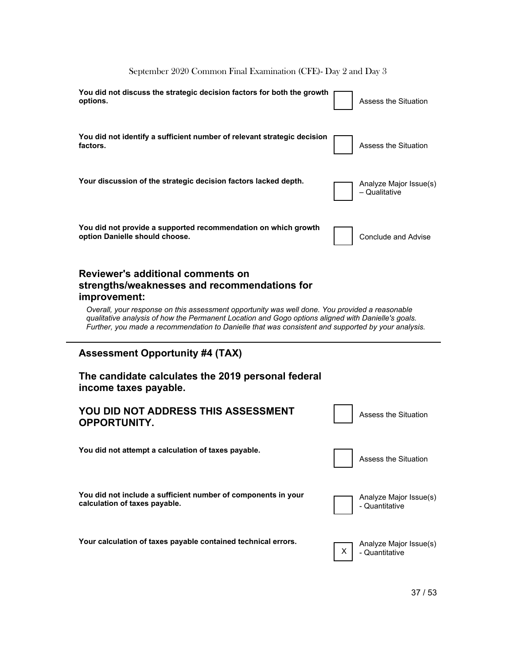| You did not discuss the strategic decision factors for both the growth<br>options.                                                                                                                                                                                                                                                                                                                                     | Assess the Situation                     |
|------------------------------------------------------------------------------------------------------------------------------------------------------------------------------------------------------------------------------------------------------------------------------------------------------------------------------------------------------------------------------------------------------------------------|------------------------------------------|
| You did not identify a sufficient number of relevant strategic decision<br>factors.                                                                                                                                                                                                                                                                                                                                    | Assess the Situation                     |
| Your discussion of the strategic decision factors lacked depth.                                                                                                                                                                                                                                                                                                                                                        | Analyze Major Issue(s)<br>- Qualitative  |
| You did not provide a supported recommendation on which growth<br>option Danielle should choose.                                                                                                                                                                                                                                                                                                                       | <b>Conclude and Advise</b>               |
| <b>Reviewer's additional comments on</b><br>strengths/weaknesses and recommendations for<br>improvement:<br>Overall, your response on this assessment opportunity was well done. You provided a reasonable<br>qualitative analysis of how the Permanent Location and Gogo options aligned with Danielle's goals.<br>Further, you made a recommendation to Danielle that was consistent and supported by your analysis. |                                          |
|                                                                                                                                                                                                                                                                                                                                                                                                                        |                                          |
| <b>Assessment Opportunity #4 (TAX)</b>                                                                                                                                                                                                                                                                                                                                                                                 |                                          |
| The candidate calculates the 2019 personal federal<br>income taxes payable.                                                                                                                                                                                                                                                                                                                                            |                                          |
| YOU DID NOT ADDRESS THIS ASSESSMENT<br><b>OPPORTUNITY.</b>                                                                                                                                                                                                                                                                                                                                                             | <b>Assess the Situation</b>              |
| You did not attempt a calculation of taxes payable.                                                                                                                                                                                                                                                                                                                                                                    | Assess the Situation                     |
| You did not include a sufficient number of components in your<br>calculation of taxes payable.                                                                                                                                                                                                                                                                                                                         | Analyze Major Issue(s)<br>- Quantitative |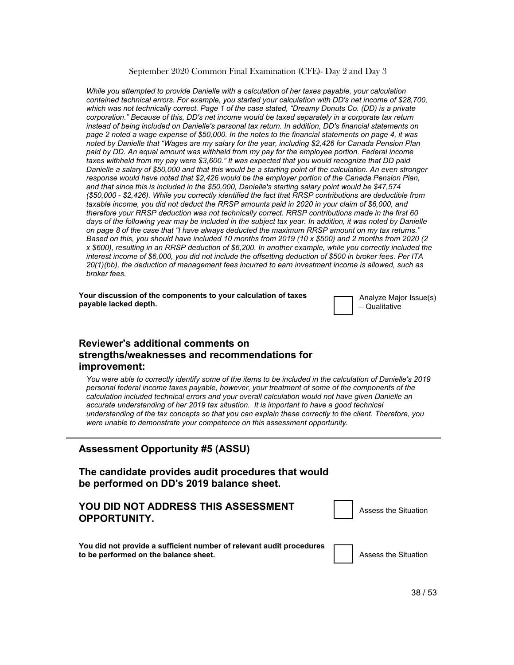*While you attempted to provide Danielle with a calculation of her taxes payable, your calculation contained technical errors. For example, you started your calculation with DD's net income of \$28,700, which was not technically correct. Page 1 of the case stated, "Dreamy Donuts Co. (DD) is a private corporation." Because of this, DD's net income would be taxed separately in a corporate tax return instead of being included on Danielle's personal tax return. In addition, DD's financial statements on page 2 noted a wage expense of \$50,000. In the notes to the financial statements on page 4, it was noted by Danielle that "Wages are my salary for the year, including \$2,426 for Canada Pension Plan paid by DD. An equal amount was withheld from my pay for the employee portion. Federal income taxes withheld from my pay were \$3,600." It was expected that you would recognize that DD paid Danielle a salary of \$50,000 and that this would be a starting point of the calculation. An even stronger response would have noted that \$2,426 would be the employer portion of the Canada Pension Plan, and that since this is included in the \$50,000, Danielle's starting salary point would be \$47,574 (\$50,000 - \$2,426). While you correctly identified the fact that RRSP contributions are deductible from taxable income, you did not deduct the RRSP amounts paid in 2020 in your claim of \$6,000, and therefore your RRSP deduction was not technically correct. RRSP contributions made in the first 60*  days of the following year may be included in the subject tax year. In addition, it was noted by Danielle *on page 8 of the case that "I have always deducted the maximum RRSP amount on my tax returns." Based on this, you should have included 10 months from 2019 (10 x \$500) and 2 months from 2020 (2 x \$600), resulting in an RRSP deduction of \$6,200. In another example, while you correctly included the interest income of \$6,000, you did not include the offsetting deduction of \$500 in broker fees. Per ITA 20(1)(bb), the deduction of management fees incurred to earn investment income is allowed, such as broker fees.*

**Your discussion of the components to your calculation of taxes payable lacked depth.** 

Analyze
Major
Issue(s) – Qualitative

#### **Reviewer's additional comments on strengths/weaknesses and recommendations for improvement:**

*You were able to correctly identify some of the items to be included in the calculation of Danielle's 2019 personal federal income taxes payable, however, your treatment of some of the components of the calculation included technical errors and your overall calculation would not have given Danielle an accurate understanding of her 2019 tax situation. It is important to have a good technical understanding of the tax concepts so that you can explain these correctly to the client. Therefore, you were unable to demonstrate your competence on this assessment opportunity.*

#### **Assessment Opportunity #5 (ASSU)**

**The candidate provides audit procedures that would be performed on DD's 2019 balance sheet.**

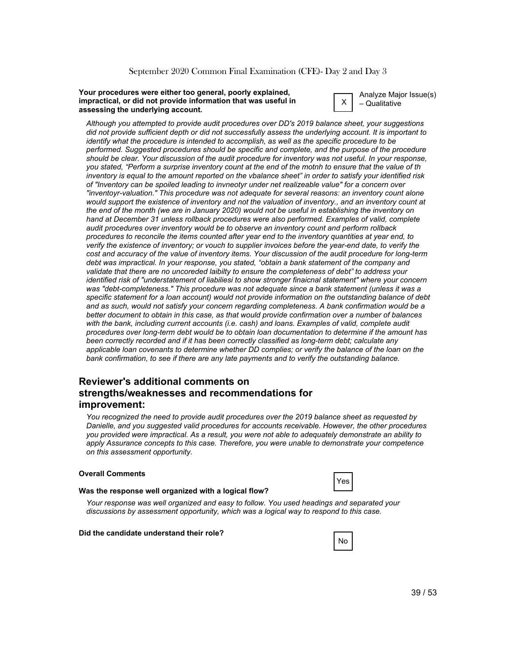#### **Your procedures were either too general, poorly explained, impractical, or did not provide information that was useful in assessing the underlying account.**



Analyze
Major
Issue(s) – Qualitative

*Although you attempted to provide audit procedures over DD's 2019 balance sheet, your suggestions did not provide sufficient depth or did not successfully assess the underlying account. It is important to identify what the procedure is intended to accomplish, as well as the specific procedure to be performed. Suggested procedures should be specific and complete, and the purpose of the procedure should be clear. Your discussion of the audit procedure for inventory was not useful. In your response, you stated, "Perform a surprise inventory count at the end of the motnh to ensure that the value of th inventory is equal to the amount reported on the vbalance sheet" in order to satisfy your identified risk of "Inventory can be spoiled leading to invneotyr under net realizeable value" for a concern over "inventoyr-valuation." This procedure was not adequate for several reasons: an inventory count alone would support the existence of inventory and not the valuation of inventory., and an inventory count at the end of the month (we are in January 2020) would not be useful in establishing the inventory on hand at December 31 unless rollback procedures were also performed. Examples of valid, complete audit procedures over inventory would be to observe an inventory count and perform rollback procedures to reconcile the items counted after year end to the inventory quantities at year end, to verify the existence of inventory; or vouch to supplier invoices before the year-end date, to verify the cost and accuracy of the value of inventory items. Your discussion of the audit procedure for long-term debt was impractical. In your response, you stated, "obtain a bank statement of the company and validate that there are no uncoreded laibilty to ensure the completeness of debt" to address your identified risk of "understatement of liabiliesi to show stronger finaicnal statement" where your concern was "debt-completeness." This procedure was not adequate since a bank statement (unless it was a specific statement for a loan account) would not provide information on the outstanding balance of debt and as such, would not satisfy your concern regarding completeness. A bank confirmation would be a better document to obtain in this case, as that would provide confirmation over a number of balances*  with the bank, including current accounts (i.e. cash) and loans. Examples of valid, complete audit *procedures over long-term debt would be to obtain loan documentation to determine if the amount has been correctly recorded and if it has been correctly classified as long-term debt; calculate any applicable loan covenants to determine whether DD complies; or verify the balance of the loan on the bank confirmation, to see if there are any late payments and to verify the outstanding balance.*

#### **Reviewer's additional comments on strengths/weaknesses and recommendations for improvement:**

*You recognized the need to provide audit procedures over the 2019 balance sheet as requested by Danielle, and you suggested valid procedures for accounts receivable. However, the other procedures you provided were impractical. As a result, you were not able to adequately demonstrate an ability to apply Assurance concepts to this case. Therefore, you were unable to demonstrate your competence on this assessment opportunity.*

#### **Overall Comments**

|--|--|

#### **Was the response well organized with a logical flow?**

*Your response was well organized and easy to follow. You used headings and separated your discussions by assessment opportunity, which was a logical way to respond to this case.*

#### **Did the candidate understand their role?**

|--|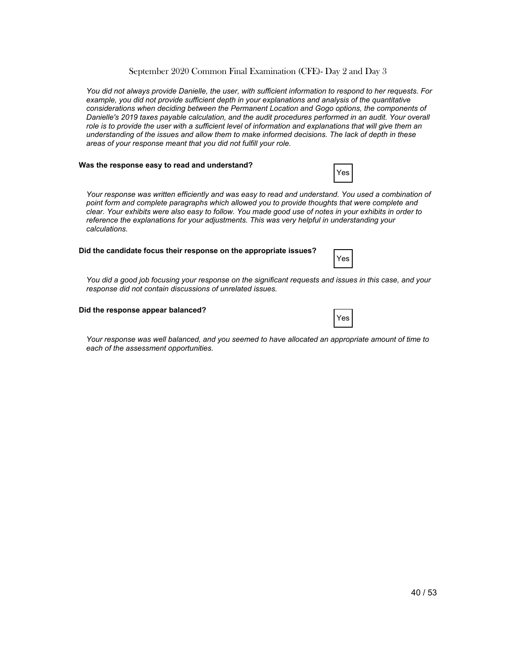*You did not always provide Danielle, the user, with sufficient information to respond to her requests. For example, you did not provide sufficient depth in your explanations and analysis of the quantitative considerations when deciding between the Permanent Location and Gogo options, the components of Danielle's 2019 taxes payable calculation, and the audit procedures performed in an audit. Your overall role is to provide the user with a sufficient level of information and explanations that will give them an understanding of the issues and allow them to make informed decisions. The lack of depth in these areas of your response meant that you did not fulfill your role.*

#### **Was the response easy to read and understand?**

|--|

*Your response was written efficiently and was easy to read and understand. You used a combination of point form and complete paragraphs which allowed you to provide thoughts that were complete and clear. Your exhibits were also easy to follow. You made good use of notes in your exhibits in order to reference the explanations for your adjustments. This was very helpful in understanding your calculations.*

#### **Did the candidate focus their response on the appropriate issues?**

*You did a good job focusing your response on the significant requests and issues in this case, and your response did not contain discussions of unrelated issues.*

#### **Did the response appear balanced?**

*Your response was well balanced, and you seemed to have allocated an appropriate amount of time to each of the assessment opportunities.*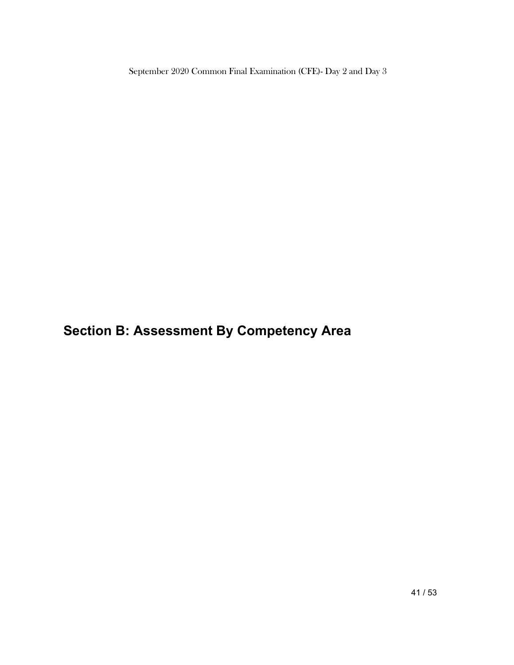**Section B: Assessment By Competency Area**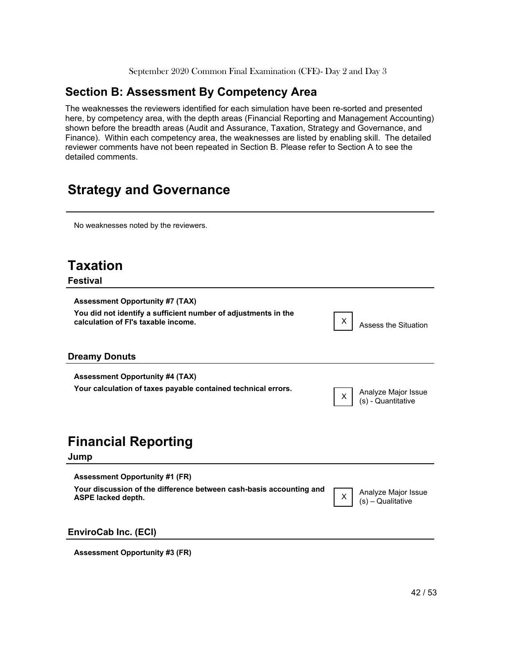# **Section B: Assessment By Competency Area**

The weaknesses the reviewers identified for each simulation have been re-sorted and presented here, by competency area, with the depth areas (Financial Reporting and Management Accounting) shown before the breadth areas (Audit and Assurance, Taxation, Strategy and Governance, and Finance). Within each competency area, the weaknesses are listed by enabling skill. The detailed reviewer comments have not been repeated in Section B. Please refer to Section A to see the detailed
comments.

# **Strategy and Governance**

No
weaknesses
noted
by
the
reviewers.

| <b>Taxation</b><br><b>Festival</b>                                                                                                              |   |                                           |
|-------------------------------------------------------------------------------------------------------------------------------------------------|---|-------------------------------------------|
| <b>Assessment Opportunity #7 (TAX)</b><br>You did not identify a sufficient number of adjustments in the<br>calculation of FI's taxable income. | Χ | Assess the Situation                      |
| <b>Dreamy Donuts</b>                                                                                                                            |   |                                           |
| <b>Assessment Opportunity #4 (TAX)</b><br>Your calculation of taxes payable contained technical errors.                                         | X | Analyze Major Issue<br>(s) - Quantitative |
| <b>Financial Reporting</b><br>Jump                                                                                                              |   |                                           |
| <b>Assessment Opportunity #1 (FR)</b><br>Your discussion of the difference between cash-basis accounting and<br><b>ASPE lacked depth.</b>       | X | Analyze Major Issue<br>(s) - Qualitative  |
| EnviroCab Inc. (ECI)                                                                                                                            |   |                                           |
| <b>Assessment Opportunity #3 (FR)</b>                                                                                                           |   |                                           |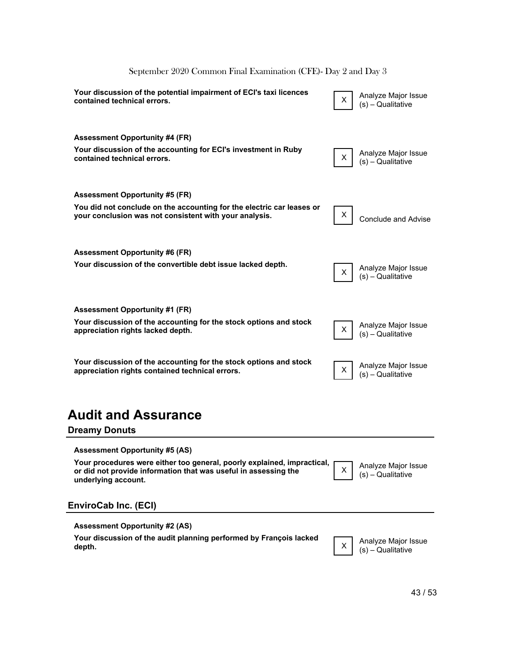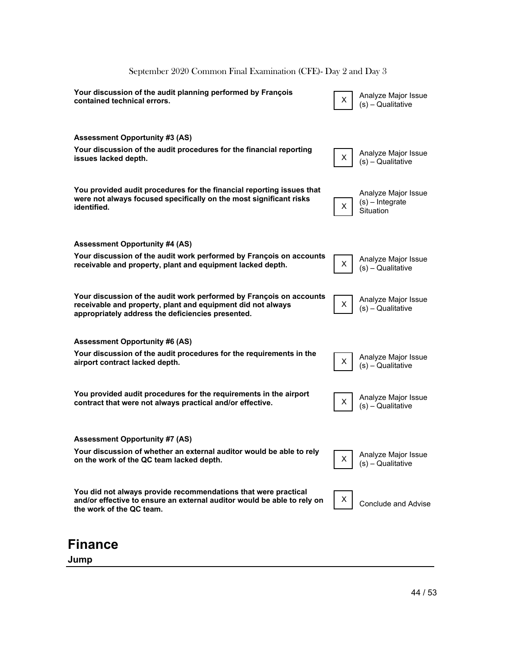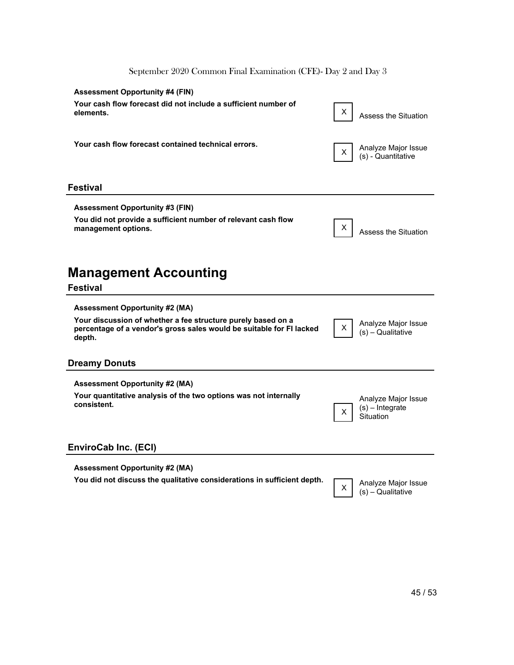| <b>Assessment Opportunity #4 (FIN)</b><br>Your cash flow forecast did not include a sufficient number of<br>elements.                                                                   | х<br>Assess the Situation                                  |
|-----------------------------------------------------------------------------------------------------------------------------------------------------------------------------------------|------------------------------------------------------------|
| Your cash flow forecast contained technical errors.                                                                                                                                     | Analyze Major Issue<br>X.<br>(s) - Quantitative            |
| <b>Festival</b>                                                                                                                                                                         |                                                            |
| <b>Assessment Opportunity #3 (FIN)</b><br>You did not provide a sufficient number of relevant cash flow<br>management options.                                                          | X<br>Assess the Situation                                  |
| <b>Management Accounting</b><br><b>Festival</b>                                                                                                                                         |                                                            |
| <b>Assessment Opportunity #2 (MA)</b><br>Your discussion of whether a fee structure purely based on a<br>percentage of a vendor's gross sales would be suitable for FI lacked<br>depth. | Analyze Major Issue<br>Χ<br>(s) - Qualitative              |
| <b>Dreamy Donuts</b>                                                                                                                                                                    |                                                            |
| <b>Assessment Opportunity #2 (MA)</b><br>Your quantitative analysis of the two options was not internally<br>consistent.                                                                | Analyze Major Issue<br>$(s)$ – Integrate<br>X<br>Situation |
| EnviroCab Inc. (ECI)                                                                                                                                                                    |                                                            |
| <b>Assessment Opportunity #2 (MA)</b><br>You did not discuss the qualitative considerations in sufficient depth.                                                                        | Analyze Major Issue<br>X<br>(s) - Qualitative              |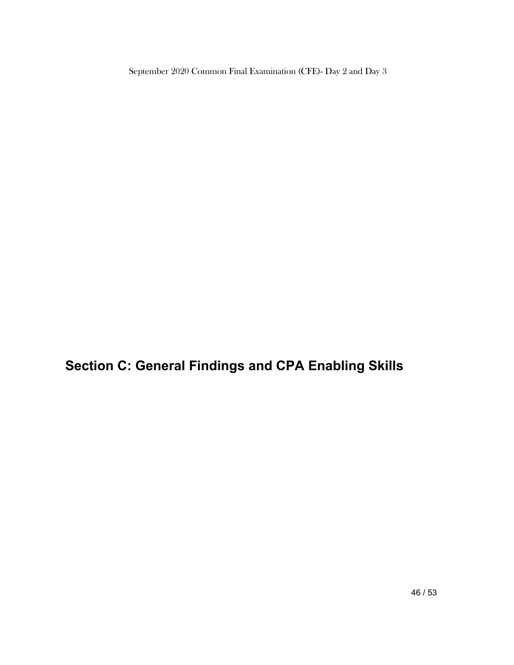**Section C: General Findings and CPA Enabling Skills**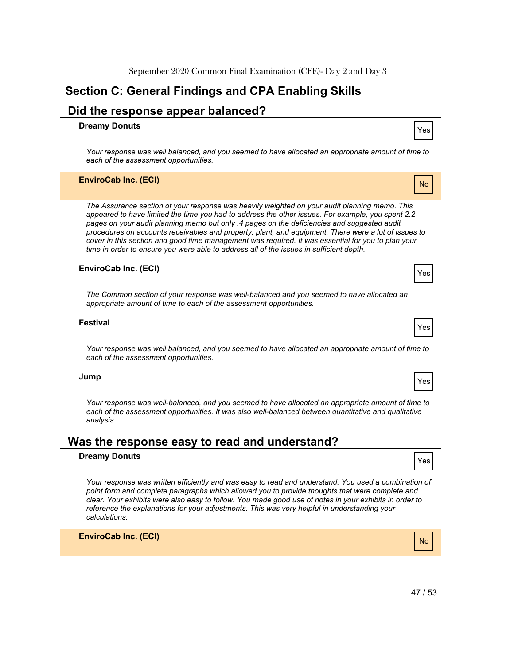# **Section C: General Findings and CPA Enabling Skills**

### **Did the response appear balanced?**

# **Dreamy Donuts**

*Your response was well balanced, and you seemed to have allocated an appropriate amount of time to each of the assessment opportunities.*

#### **EnviroCab Inc. (ECI)**

*The Assurance section of your response was heavily weighted on your audit planning memo. This appeared to have limited the time you had to address the other issues. For example, you spent 2.2 pages on your audit planning memo but only .4 pages on the deficiencies and suggested audit procedures on accounts receivables and property, plant, and equipment. There were a lot of issues to cover in this section and good time management was required. It was essential for you to plan your time in order to ensure you were able to address all of the issues in sufficient depth.*

#### **EnviroCab Inc. (ECI)**

*The Common section of your response was well-balanced and you seemed to have allocated an appropriate amount of time to each of the assessment opportunities.*

#### **Festival**

*Your response was well balanced, and you seemed to have allocated an appropriate amount of time to each of the assessment opportunities.*

#### **Jump**

*Your response was well-balanced, and you seemed to have allocated an appropriate amount of time to*  each of the assessment opportunities. It was also well-balanced between quantitative and qualitative *analysis.*

#### **Was the response easy to read and understand?**

#### **Dreamy Donuts**

*Your response was written efficiently and was easy to read and understand. You used a combination of point form and complete paragraphs which allowed you to provide thoughts that were complete and clear. Your exhibits were also easy to follow. You made good use of notes in your exhibits in order to reference the explanations for your adjustments. This was very helpful in understanding your calculations.*

**EnviroCab Inc. (ECI)**





Yes



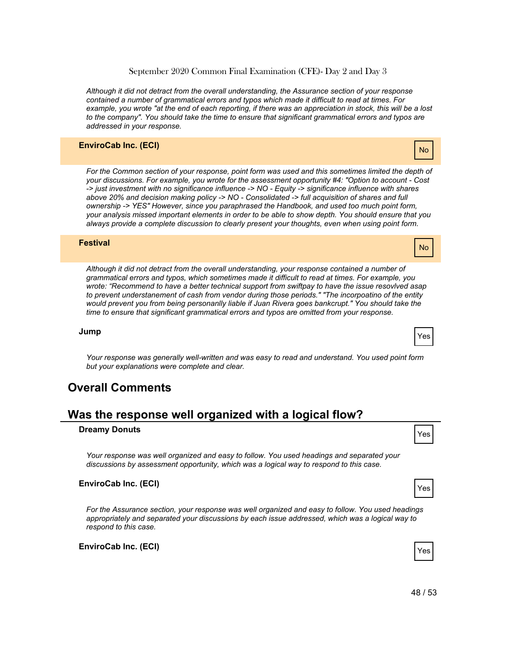*Although it did not detract from the overall understanding, the Assurance section of your response contained a number of grammatical errors and typos which made it difficult to read at times. For example, you wrote "at the end of each reporting, if there was an appreciation in stock, this will be a lost to the company". You should take the time to ensure that significant grammatical errors and typos are addressed in your response.*

#### **EnviroCab Inc. (ECI)**

For the Common section of your response, point form was used and this sometimes limited the depth of *your discussions. For example, you wrote for the assessment opportunity #4: "Option to account - Cost -> just investment with no significance influence -> NO - Equity -> significance influence with shares above 20% and decision making policy -> NO - Consolidated -> full acquisition of shares and full ownership -> YES" However, since you paraphrased the Handbook, and used too much point form, your analysis missed important elements in order to be able to show depth. You should ensure that you always provide a complete discussion to clearly present your thoughts, even when using point form.*

#### **Festival**

*Although it did not detract from the overall understanding, your response contained a number of grammatical errors and typos, which sometimes made it difficult to read at times. For example, you wrote: "Recommend to have a better technical support from swiftpay to have the issue resovlved asap to prevent understanement of cash from vendor during those periods." "The incorpoatino of the entity would prevent you from being personanlly liable if Juan Rivera goes bankcrupt." You should take the time to ensure that significant grammatical errors and typos are omitted from your response.*

**Jump**

*Your response was generally well-written and was easy to read and understand. You used point form but your explanations were complete and clear.*

#### **Overall Comments**

#### **Was the response well organized with a logical flow?**

### **Dreamy Donuts**

*Your response was well organized and easy to follow. You used headings and separated your discussions by assessment opportunity, which was a logical way to respond to this case.*

#### **EnviroCab Inc. (ECI)**

*For the Assurance section, your response was well organized and easy to follow. You used headings appropriately and separated your discussions by each issue addressed, which was a logical way to respond to this case.*

**EnviroCab Inc. (ECI)**



No

Yes

No



Yes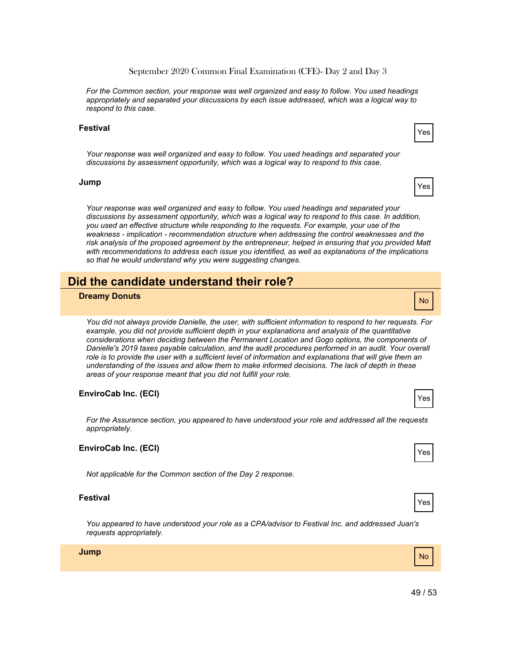Yes

Yes

September 2020 Common Final Examination (CFE)- Day 2 and Day 3

*For the Common section, your response was well organized and easy to follow. You used headings appropriately and separated your discussions by each issue addressed, which was a logical way to respond to this case.*

#### **Festival**

*Your response was well organized and easy to follow. You used headings and separated your discussions by assessment opportunity, which was a logical way to respond to this case.*

#### **Jump**

*Your response was well organized and easy to follow. You used headings and separated your discussions by assessment opportunity, which was a logical way to respond to this case. In addition, you used an effective structure while responding to the requests. For example, your use of the weakness - implication - recommendation structure when addressing the control weaknesses and the risk analysis of the proposed agreement by the entrepreneur, helped in ensuring that you provided Matt with recommendations to address each issue you identified, as well as explanations of the implications so that he would understand why you were suggesting changes.*

# **Did the candidate understand their role?**

### No **Dreamy Donuts**

*You did not always provide Danielle, the user, with sufficient information to respond to her requests. For example, you did not provide sufficient depth in your explanations and analysis of the quantitative considerations when deciding between the Permanent Location and Gogo options, the components of Danielle's 2019 taxes payable calculation, and the audit procedures performed in an audit. Your overall role is to provide the user with a sufficient level of information and explanations that will give them an understanding of the issues and allow them to make informed decisions. The lack of depth in these areas of your response meant that you did not fulfill your role.*

#### **EnviroCab Inc. (ECI)**

*For the Assurance section, you appeared to have understood your role and addressed all the requests appropriately.*

#### **EnviroCab Inc. (ECI)**

*Not applicable for the Common section of the Day 2 response.*

#### **Festival**

*You appeared to have understood your role as a CPA/advisor to Festival Inc. and addressed Juan's requests appropriately.*

**Jump**



Yes

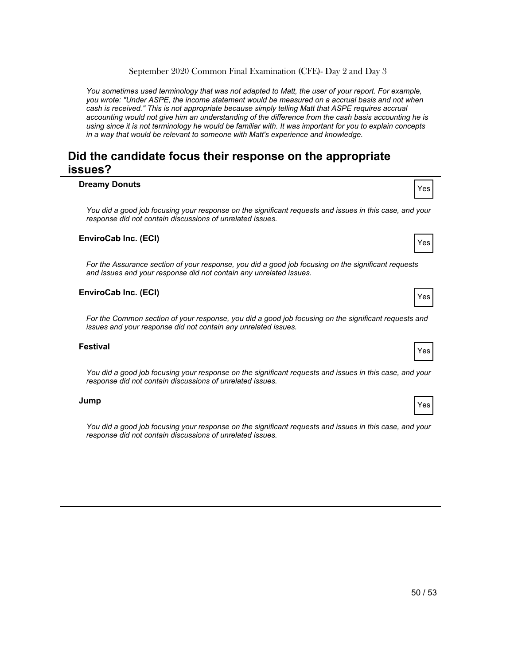*You sometimes used terminology that was not adapted to Matt, the user of your report. For example, you wrote: "Under ASPE, the income statement would be measured on a accrual basis and not when cash is received." This is not appropriate because simply telling Matt that ASPE requires accrual accounting would not give him an understanding of the difference from the cash basis accounting he is using since it is not terminology he would be familiar with. It was important for you to explain concepts in a way that would be relevant to someone with Matt's experience and knowledge.*

# **Did the candidate focus their response on the appropriate issues?**

# **Dreamy Donuts** and the set of the set of the set of the set of the set of the set of the set of the set of the set of the set of the set of the set of the set of the set of the set of the set of the set of the set of the *You did a good job focusing your response on the significant requests and issues in this case, and your response did not contain discussions of unrelated issues.* Yes **EnviroCab Inc. (ECI)** *For the Assurance section of your response, you did a good job focusing on the significant requests and issues and your response did not contain any unrelated issues.* Yes **EnviroCab Inc. (ECI)** *For the Common section of your response, you did a good job focusing on the significant requests and issues and your response did not contain any unrelated issues.* Yes **Festival**

*You did a good job focusing your response on the significant requests and issues in this case, and your response did not contain discussions of unrelated issues.*

#### **Jump**

*You did a good job focusing your response on the significant requests and issues in this case, and your response did not contain discussions of unrelated issues.*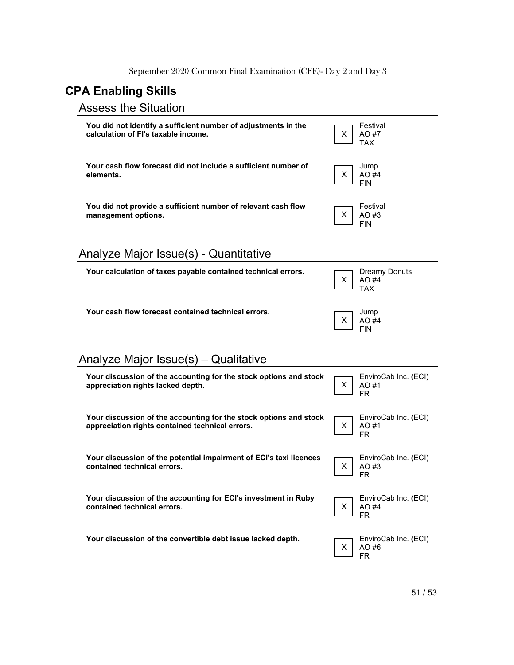# **CPA Enabling Skills**

# Assess
the
Situation

| You did not identify a sufficient number of adjustments in the<br>calculation of FI's taxable income.                | X. | Festival<br>AO #7<br>TAX                    |
|----------------------------------------------------------------------------------------------------------------------|----|---------------------------------------------|
| Your cash flow forecast did not include a sufficient number of<br>elements.                                          | Χ  | Jump<br>AO #4<br><b>FIN</b>                 |
| You did not provide a sufficient number of relevant cash flow<br>management options.                                 | Χ  | Festival<br>AO #3<br><b>FIN</b>             |
| Analyze Major Issue(s) - Quantitative                                                                                |    |                                             |
| Your calculation of taxes payable contained technical errors.                                                        | X. | <b>Dreamy Donuts</b><br>AO #4<br><b>TAX</b> |
| Your cash flow forecast contained technical errors.                                                                  | X. | Jump<br>AO #4<br><b>FIN</b>                 |
|                                                                                                                      |    |                                             |
| Analyze Major Issue(s) – Qualitative                                                                                 |    |                                             |
| Your discussion of the accounting for the stock options and stock<br>appreciation rights lacked depth.               | X. | EnviroCab Inc. (ECI)<br>AO #1<br><b>FR</b>  |
| Your discussion of the accounting for the stock options and stock<br>appreciation rights contained technical errors. | X. | EnviroCab Inc. (ECI)<br>AO #1<br>FR.        |
| Your discussion of the potential impairment of ECI's taxi licences<br>contained technical errors.                    | X. | EnviroCab Inc. (ECI)<br>AO #3<br>FR.        |
| Your discussion of the accounting for ECI's investment in Ruby<br>contained technical errors.                        | X. | EnviroCab Inc. (ECI)<br>AO #4<br><b>FR</b>  |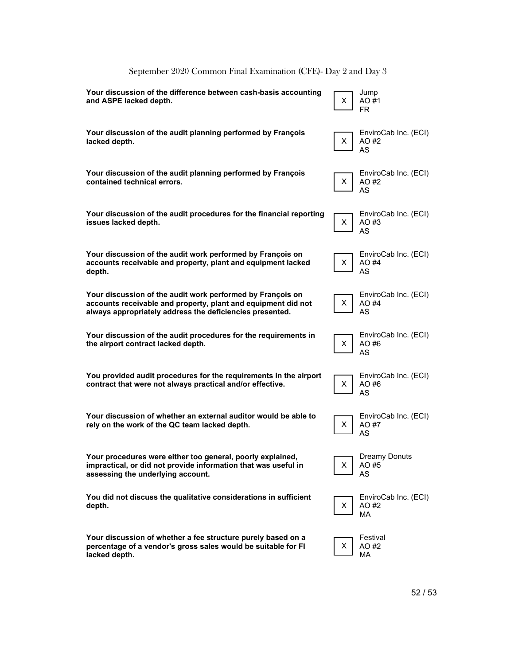